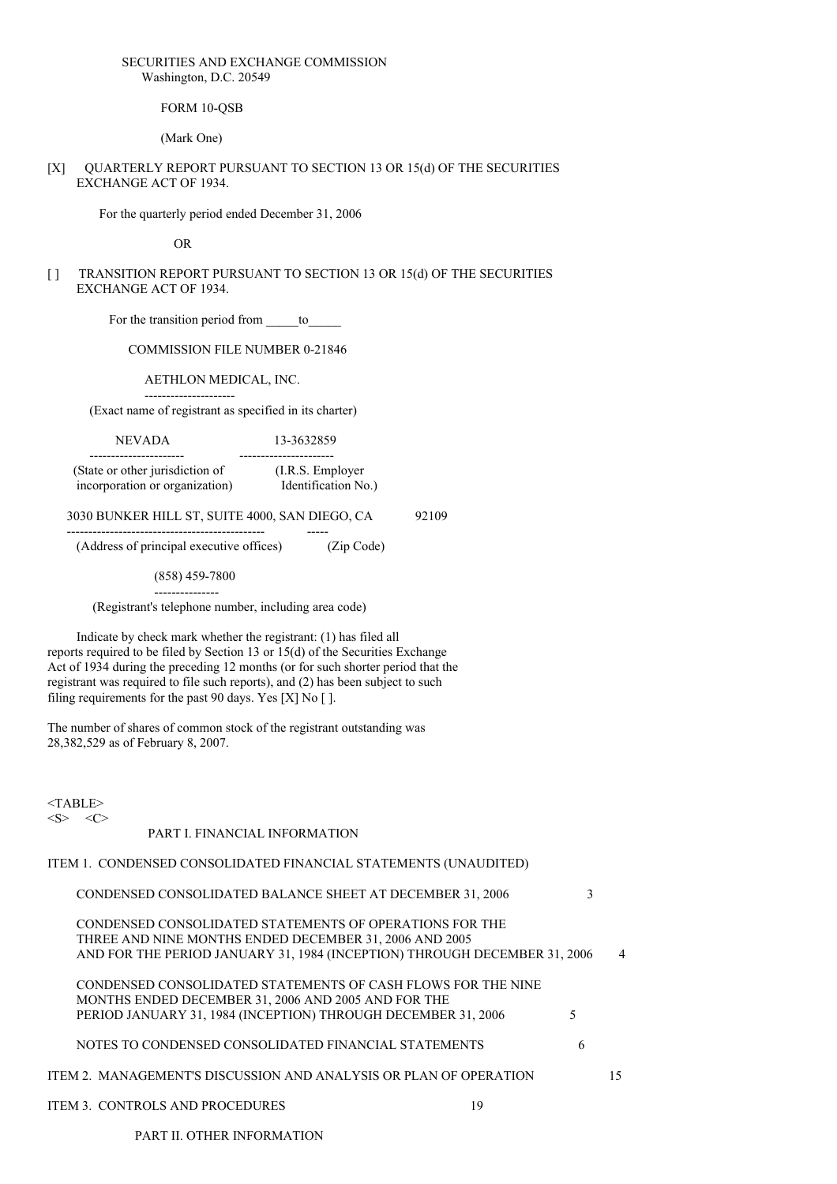#### SECURITIES AND EXCHANGE COMMISSION Washington, D.C. 20549

#### FORM 10-OSB

(Mark One)

[X] QUARTERLY REPORT PURSUANT TO SECTION 13 OR 15(d) OF THE SECURITIES EXCHANGE ACT OF 1934.

For the quarterly period ended December 31, 2006

OR

[ ] TRANSITION REPORT PURSUANT TO SECTION 13 OR 15(d) OF THE SECURITIES EXCHANGE ACT OF 1934.

For the transition period from to

COMMISSION FILE NUMBER 0-21846

## AETHLON MEDICAL, INC.

--------------------- (Exact name of registrant as specified in its charter)

NEVADA 13-3632859

(State or other jurisdiction of (I.R.S. Employer incorporation or organization) Identification No.

3030 BUNKER HILL ST, SUITE 4000, SAN DIEGO, CA 92109

---------------------------------------------- ----- (Address of principal executive offices) (Zip Code)

> (858) 459-7800 ---------------

---------------------- ----------------------

(Registrant's telephone number, including area code)

Indicate by check mark whether the registrant: (1) has filed all reports required to be filed by Section 13 or 15(d) of the Securities Exchange Act of 1934 during the preceding 12 months (or for such shorter period that the registrant was required to file such reports), and (2) has been subject to such filing requirements for the past 90 days. Yes [X] No [ ].

The number of shares of common stock of the registrant outstanding was 28,382,529 as of February 8, 2007.

 $<$ TABLE $>$  $\langle S \rangle$   $\langle C \rangle$ 

# PART I. FINANCIAL INFORMATION ITEM 1. CONDENSED CONSOLIDATED FINANCIAL STATEMENTS (UNAUDITED) CONDENSED CONSOLIDATED BALANCE SHEET AT DECEMBER 31, 2006 3 CONDENSED CONSOLIDATED STATEMENTS OF OPERATIONS FOR THE THREE AND NINE MONTHS ENDED DECEMBER 31, 2006 AND 2005 AND FOR THE PERIOD JANUARY 31, 1984 (INCEPTION) THROUGH DECEMBER 31, 2006 4 CONDENSED CONSOLIDATED STATEMENTS OF CASH FLOWS FOR THE NINE MONTHS ENDED DECEMBER 31, 2006 AND 2005 AND FOR THE PERIOD JANUARY 31, 1984 (INCEPTION) THROUGH DECEMBER 31, 2006 5 NOTES TO CONDENSED CONSOLIDATED FINANCIAL STATEMENTS 6

- ITEM 2. MANAGEMENT'S DISCUSSION AND ANALYSIS OR PLAN OF OPERATION 15
- ITEM 3. CONTROLS AND PROCEDURES 19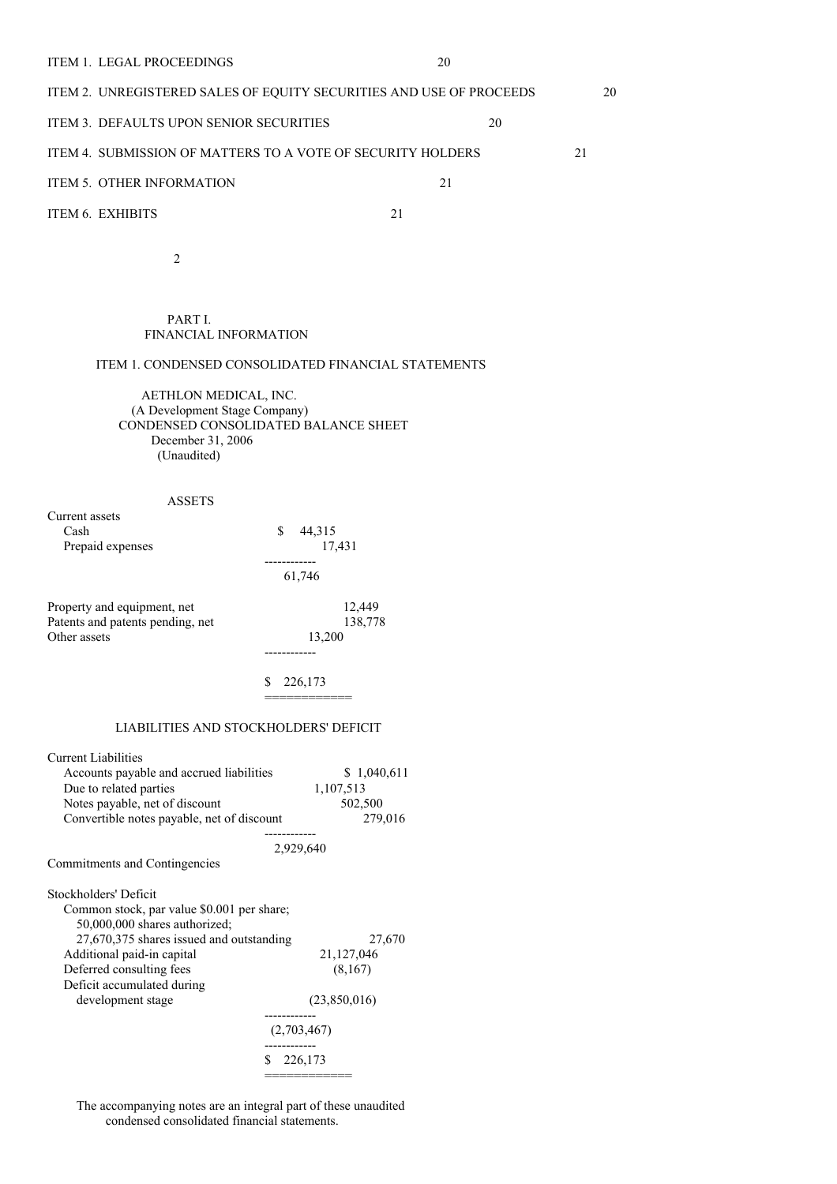## PART I. FINANCIAL INFORMATION

## ITEM 1. CONDENSED CONSOLIDATED FINANCIAL STATEMENTS

#### AETHLON MEDICAL, INC. (A Development Stage Company) CONDENSED CONSOLIDATED BALANCE SHEET December 31, 2006 (Unaudited)

| <b>ASSETS</b>                                                                                                                                                                                                                                                 |                                                                                           |
|---------------------------------------------------------------------------------------------------------------------------------------------------------------------------------------------------------------------------------------------------------------|-------------------------------------------------------------------------------------------|
| Current assets<br>Cash<br>Prepaid expenses                                                                                                                                                                                                                    | \$.<br>44,315<br>17,431                                                                   |
| Property and equipment, net<br>Patents and patents pending, net<br>Other assets                                                                                                                                                                               | 61,746<br>12,449<br>138,778<br>13,200                                                     |
|                                                                                                                                                                                                                                                               | 226,173<br>S.                                                                             |
| LIABILITIES AND STOCKHOLDERS' DEFICIT                                                                                                                                                                                                                         |                                                                                           |
| <b>Current Liabilities</b><br>Accounts payable and accrued liabilities<br>Due to related parties<br>Notes payable, net of discount<br>Convertible notes payable, net of discount                                                                              | \$1,040,611<br>1,107,513<br>502,500<br>279,016                                            |
| Commitments and Contingencies                                                                                                                                                                                                                                 | 2,929,640                                                                                 |
| Stockholders' Deficit<br>Common stock, par value \$0.001 per share;<br>50,000,000 shares authorized;<br>27,670,375 shares issued and outstanding<br>Additional paid-in capital<br>Deferred consulting fees<br>Deficit accumulated during<br>development stage | 27,670<br>21,127,046<br>(8,167)<br>(23,850,016)<br>(2,703,467)<br>\$226,173<br>__________ |

The accompanying notes are an integral part of these unaudited condensed consolidated financial statements.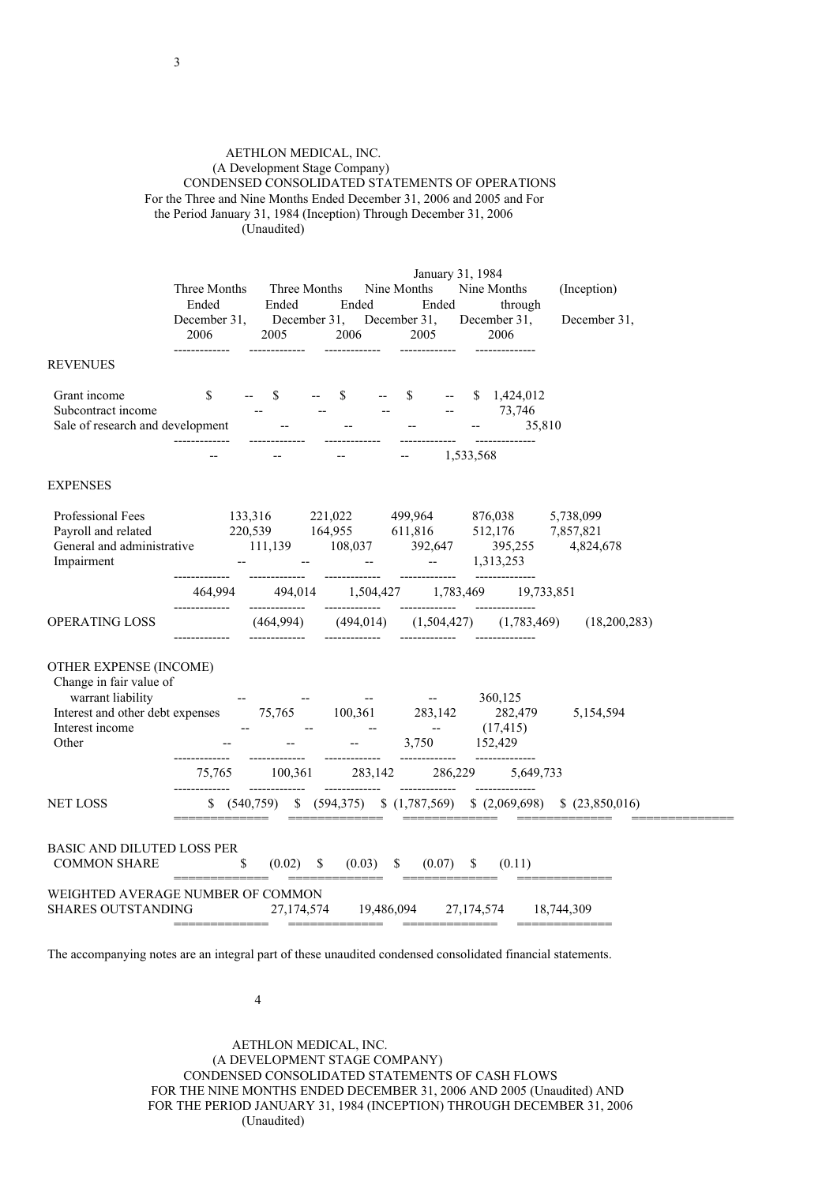#### AETHLON MEDICAL, INC. (A Development Stage Company) CONDENSED CONSOLIDATED STATEMENTS OF OPERATIONS For the Three and Nine Months Ended December 31, 2006 and 2005 and For the Period January 31, 1984 (Inception) Through December 31, 2006 (Unaudited)

|                                                                                                                                                                                                                                                                      | Three Months<br>Ended | Three Months<br>Ended | Ended          | January 31, 1984<br>Nine Months<br>Ended | Nine Months<br>through                                                                                                      | (Inception)                                                                  |
|----------------------------------------------------------------------------------------------------------------------------------------------------------------------------------------------------------------------------------------------------------------------|-----------------------|-----------------------|----------------|------------------------------------------|-----------------------------------------------------------------------------------------------------------------------------|------------------------------------------------------------------------------|
|                                                                                                                                                                                                                                                                      |                       | -------------         | -------------  |                                          | December 31, December 31, December 31, December 31, 2006<br>2006 2005 2006 2006                                             | December 31,                                                                 |
| <b>REVENUES</b>                                                                                                                                                                                                                                                      |                       |                       |                |                                          |                                                                                                                             |                                                                              |
| Grant income<br>Subcontract income                                                                                                                                                                                                                                   |                       |                       |                |                                          | $\text{\$}$ - $\text{\$}$ - $\text{\$}$ - $\text{\$}$ - $\text{\$}$ - $\text{\$}$ - $\text{\$}$ 1,424,012<br>$      73,746$ |                                                                              |
| Sale of research and development                                                                                                                                                                                                                                     |                       |                       |                |                                          | 35,810                                                                                                                      |                                                                              |
|                                                                                                                                                                                                                                                                      |                       |                       |                | $-1,533,568$                             |                                                                                                                             |                                                                              |
| <b>EXPENSES</b>                                                                                                                                                                                                                                                      |                       |                       |                |                                          |                                                                                                                             |                                                                              |
| Professional Fees<br>Payroll and related<br>220,539<br>General and administrative<br>220,539<br>164,955<br>108,037<br>392,647<br>395,255<br>395,255<br>4,824,678<br>Impairment<br>--<br>2.11,139<br>2.20,39<br>2.108,037<br>2.392,647<br>3.395,255<br>4,824,678<br>4 |                       |                       |                |                                          |                                                                                                                             |                                                                              |
|                                                                                                                                                                                                                                                                      |                       |                       |                |                                          |                                                                                                                             |                                                                              |
|                                                                                                                                                                                                                                                                      |                       |                       |                |                                          | 464,994 494,014 1,504,427 1,783,469 19,733,851                                                                              |                                                                              |
| OPERATING LOSS                                                                                                                                                                                                                                                       |                       | -------------         |                |                                          |                                                                                                                             | $(464,994)$ $(494,014)$ $(1,504,427)$ $(1,783,469)$ $(18,200,283)$           |
| OTHER EXPENSE (INCOME)<br>Change in fair value of                                                                                                                                                                                                                    |                       |                       |                |                                          |                                                                                                                             |                                                                              |
| warrant liability                                                                                                                                                                                                                                                    |                       |                       | $     360,125$ |                                          |                                                                                                                             |                                                                              |
| Interest and other debt expenses<br>Therest income<br>Therest income<br>Therest income<br>Therest income<br>Therest income<br>Therest income<br>Therest income<br>Therest income<br>Therest income<br>Therest income<br>Therest income<br>Therest inco               |                       |                       |                |                                          |                                                                                                                             |                                                                              |
|                                                                                                                                                                                                                                                                      |                       |                       |                |                                          |                                                                                                                             |                                                                              |
| NET LOSS                                                                                                                                                                                                                                                             |                       |                       |                |                                          |                                                                                                                             | $$$ (540,759) $$$ (594,375) $$$ (1,787,569) $$$ (2,069,698) $$$ (23,850,016) |
|                                                                                                                                                                                                                                                                      |                       |                       |                |                                          |                                                                                                                             |                                                                              |
| <b>BASIC AND DILUTED LOSS PER</b><br><b>COMMON SHARE</b>                                                                                                                                                                                                             | $\mathbb{S}$          |                       |                |                                          | $(0.02)$ \$ $(0.03)$ \$ $(0.07)$ \$ $(0.11)$                                                                                |                                                                              |
| WEIGHTED AVERAGE NUMBER OF COMMON<br>SHARES OUTSTANDING 27,174,574 19,486,094 27,174,574 18,744,309                                                                                                                                                                  |                       |                       |                |                                          |                                                                                                                             |                                                                              |

The accompanying notes are an integral part of these unaudited condensed consolidated financial statements.

4

AETHLON MEDICAL, INC. (A DEVELOPMENT STAGE COMPANY) CONDENSED CONSOLIDATED STATEMENTS OF CASH FLOWS FOR THE NINE MONTHS ENDED DECEMBER 31, 2006 AND 2005 (Unaudited) AND FOR THE PERIOD JANUARY 31, 1984 (INCEPTION) THROUGH DECEMBER 31, 2006 (Unaudited)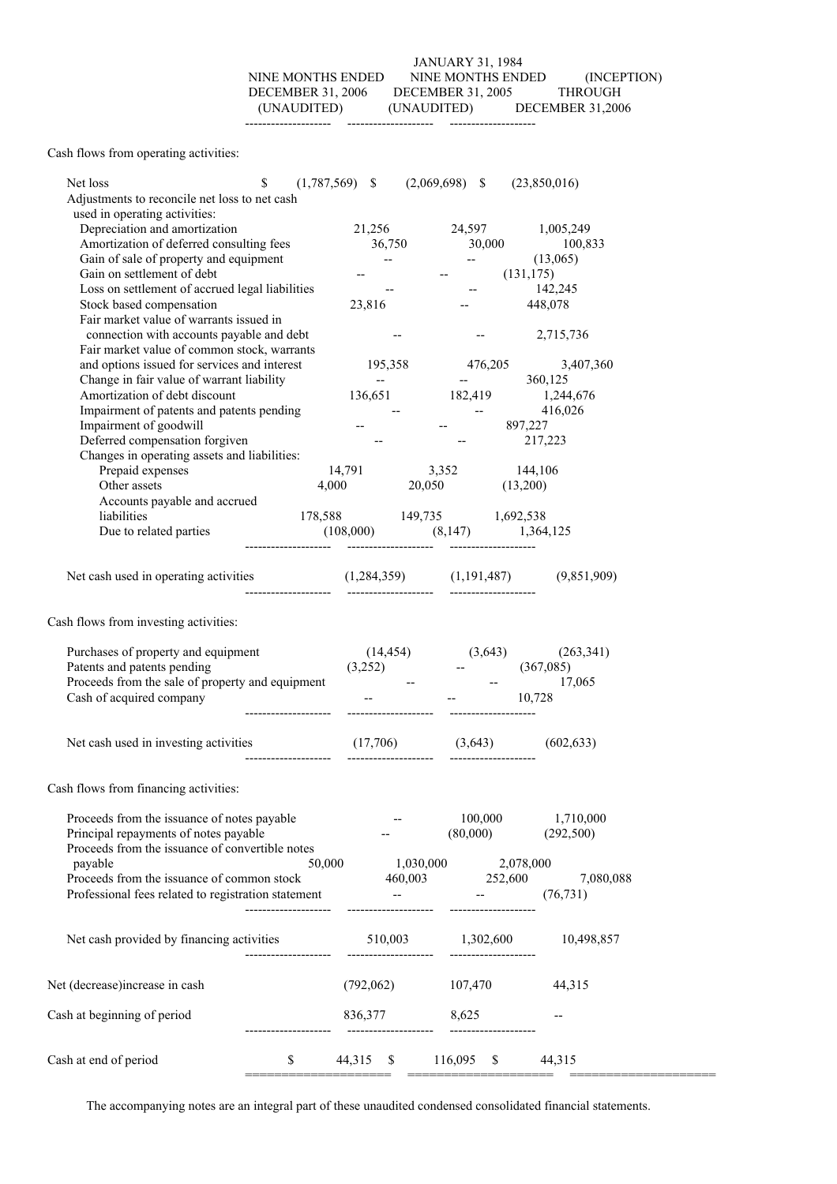-------------------- -------------------- --------------------

Cash flows from operating activities:

| Net loss<br>Adjustments to reconcile net loss to net cash<br>used in operating activities:                                  | \$ |        |                                                                                                                                                                     |                                   |          |                     | $(1,787,569)$ \$ $(2,069,698)$ \$ $(23,850,016)$                                                                                                                  |  |
|-----------------------------------------------------------------------------------------------------------------------------|----|--------|---------------------------------------------------------------------------------------------------------------------------------------------------------------------|-----------------------------------|----------|---------------------|-------------------------------------------------------------------------------------------------------------------------------------------------------------------|--|
| Depreciation and amortization                                                                                               |    |        |                                                                                                                                                                     |                                   |          |                     |                                                                                                                                                                   |  |
| Amortization of deferred consulting fees                                                                                    |    |        |                                                                                                                                                                     |                                   |          |                     | $\begin{array}{cccc} 21,256 & 24,597 & 1,005,249 \\ 36,750 & 30,000 & 100,833 \\ - & - & - & (13,065) \\ - & - & - & 142,245 \\ 23,816 & - & 448,078 \end{array}$ |  |
| Gain of sale of property and equipment                                                                                      |    |        |                                                                                                                                                                     |                                   |          |                     |                                                                                                                                                                   |  |
| Gain on settlement of debt                                                                                                  |    |        |                                                                                                                                                                     |                                   |          |                     |                                                                                                                                                                   |  |
| Loss on settlement of accrued legal liabilities                                                                             |    |        |                                                                                                                                                                     |                                   |          |                     |                                                                                                                                                                   |  |
|                                                                                                                             |    |        |                                                                                                                                                                     |                                   |          |                     |                                                                                                                                                                   |  |
| Stock based compensation                                                                                                    |    |        | 23,816                                                                                                                                                              |                                   |          |                     |                                                                                                                                                                   |  |
| Fair market value of warrants issued in                                                                                     |    |        |                                                                                                                                                                     |                                   |          |                     |                                                                                                                                                                   |  |
| connection with accounts payable and debt                                                                                   |    |        | $\overline{\phantom{a}}$                                                                                                                                            |                                   |          |                     | 2,715,736                                                                                                                                                         |  |
| Fair market value of common stock, warrants                                                                                 |    |        |                                                                                                                                                                     |                                   |          |                     |                                                                                                                                                                   |  |
| and options issued for services and interest                                                                                |    |        |                                                                                                                                                                     |                                   |          |                     | 195,358 476,205 3,407,360<br>-- 560,125<br>136,651 182,419 1,244,676<br>-- - 897,227                                                                              |  |
| Change in fair value of warrant liability                                                                                   |    |        |                                                                                                                                                                     |                                   |          |                     |                                                                                                                                                                   |  |
| Amortization of debt discount                                                                                               |    |        |                                                                                                                                                                     |                                   |          |                     |                                                                                                                                                                   |  |
| Impairment of patents and patents pending                                                                                   |    |        |                                                                                                                                                                     |                                   |          |                     |                                                                                                                                                                   |  |
| Impairment of goodwill                                                                                                      |    |        |                                                                                                                                                                     |                                   |          |                     |                                                                                                                                                                   |  |
| Deferred compensation forgiven                                                                                              |    |        |                                                                                                                                                                     | and the control of the control of |          |                     | 217,223                                                                                                                                                           |  |
| Changes in operating assets and liabilities:                                                                                |    |        |                                                                                                                                                                     |                                   |          |                     |                                                                                                                                                                   |  |
|                                                                                                                             |    |        |                                                                                                                                                                     |                                   |          |                     |                                                                                                                                                                   |  |
| Prepaid expenses<br>Other assets                                                                                            |    |        | $\begin{array}{cccc} 14{,}791 & \hspace*{1.5cm} 3{,}352 & \hspace*{1.5cm} 144{,}106 \\ 4{,}000 & \hspace*{1.5cm} 20{,}050 & \hspace*{1.5cm} (13{,}200) \end{array}$ |                                   |          |                     |                                                                                                                                                                   |  |
|                                                                                                                             |    |        |                                                                                                                                                                     |                                   |          |                     |                                                                                                                                                                   |  |
| Accounts payable and accrued                                                                                                |    |        |                                                                                                                                                                     |                                   |          |                     |                                                                                                                                                                   |  |
| liabilities<br>Due to related parties<br>$178,588$<br>$149,735$<br>$1,692,538$<br>$1,692,538$<br>$1,364,125$<br>$1,364,125$ |    |        |                                                                                                                                                                     |                                   |          |                     |                                                                                                                                                                   |  |
|                                                                                                                             |    |        |                                                                                                                                                                     |                                   |          |                     |                                                                                                                                                                   |  |
| Net cash used in operating activities (1,284,359) (1,191,487) (9,851,909)                                                   |    |        |                                                                                                                                                                     |                                   |          |                     |                                                                                                                                                                   |  |
| Cash flows from investing activities:                                                                                       |    |        |                                                                                                                                                                     |                                   |          |                     |                                                                                                                                                                   |  |
| Purchases of property and equipment (14,454) (3,643) (263,341)                                                              |    |        |                                                                                                                                                                     |                                   |          |                     |                                                                                                                                                                   |  |
|                                                                                                                             |    |        |                                                                                                                                                                     |                                   |          |                     |                                                                                                                                                                   |  |
| Patents and patents pending (3,252) - (367,085)<br>Proceeds from the sale of property and equipment 17,065                  |    |        |                                                                                                                                                                     |                                   |          |                     |                                                                                                                                                                   |  |
| Cash of acquired company                                                                                                    |    |        |                                                                                                                                                                     |                                   |          |                     | 10,728                                                                                                                                                            |  |
|                                                                                                                             |    |        |                                                                                                                                                                     |                                   |          |                     |                                                                                                                                                                   |  |
|                                                                                                                             |    |        |                                                                                                                                                                     |                                   |          |                     |                                                                                                                                                                   |  |
|                                                                                                                             |    |        |                                                                                                                                                                     |                                   |          |                     |                                                                                                                                                                   |  |
| Net cash used in investing activities (17,706) (3,643) (602,633)                                                            |    |        |                                                                                                                                                                     |                                   |          |                     |                                                                                                                                                                   |  |
|                                                                                                                             |    |        |                                                                                                                                                                     |                                   |          |                     |                                                                                                                                                                   |  |
| Cash flows from financing activities:                                                                                       |    |        |                                                                                                                                                                     |                                   |          |                     |                                                                                                                                                                   |  |
| Proceeds from the issuance of notes payable                                                                                 |    |        |                                                                                                                                                                     |                                   | 100,000  |                     | 1,710,000                                                                                                                                                         |  |
| Principal repayments of notes payable                                                                                       |    |        |                                                                                                                                                                     |                                   | (80,000) |                     | (292, 500)                                                                                                                                                        |  |
| Proceeds from the issuance of convertible notes                                                                             |    |        |                                                                                                                                                                     |                                   |          |                     |                                                                                                                                                                   |  |
| payable                                                                                                                     |    |        |                                                                                                                                                                     |                                   |          |                     |                                                                                                                                                                   |  |
|                                                                                                                             |    | 50,000 |                                                                                                                                                                     |                                   |          | 1,030,000 2,078,000 |                                                                                                                                                                   |  |
| Proceeds from the issuance of common stock                                                                                  |    |        |                                                                                                                                                                     | 460,003                           |          | 252,600             | 7,080,088                                                                                                                                                         |  |
| Professional fees related to registration statement --                                                                      |    |        |                                                                                                                                                                     |                                   |          |                     | (76, 731)                                                                                                                                                         |  |
|                                                                                                                             |    |        |                                                                                                                                                                     |                                   |          |                     |                                                                                                                                                                   |  |
|                                                                                                                             |    |        |                                                                                                                                                                     |                                   |          |                     |                                                                                                                                                                   |  |
| Net cash provided by financing activities                                                                                   |    |        | 510,003                                                                                                                                                             |                                   |          |                     | 1,302,600 10,498,857                                                                                                                                              |  |
|                                                                                                                             |    |        |                                                                                                                                                                     |                                   |          |                     |                                                                                                                                                                   |  |
|                                                                                                                             |    |        |                                                                                                                                                                     |                                   |          |                     |                                                                                                                                                                   |  |
| Net (decrease)increase in cash                                                                                              |    |        | (792,062)                                                                                                                                                           | 107,470                           |          |                     | 44,315                                                                                                                                                            |  |
|                                                                                                                             |    |        |                                                                                                                                                                     |                                   |          |                     |                                                                                                                                                                   |  |
|                                                                                                                             |    |        |                                                                                                                                                                     |                                   |          |                     |                                                                                                                                                                   |  |
| Cash at beginning of period                                                                                                 |    |        | 836,377 8,625                                                                                                                                                       |                                   |          |                     |                                                                                                                                                                   |  |
|                                                                                                                             |    |        |                                                                                                                                                                     |                                   |          |                     |                                                                                                                                                                   |  |
|                                                                                                                             |    |        |                                                                                                                                                                     |                                   |          |                     |                                                                                                                                                                   |  |
| Cash at end of period                                                                                                       | S. |        | 44,315 \$ 116,095 \$                                                                                                                                                |                                   |          |                     | 44,315                                                                                                                                                            |  |
|                                                                                                                             |    |        |                                                                                                                                                                     |                                   |          |                     |                                                                                                                                                                   |  |

The accompanying notes are an integral part of these unaudited condensed consolidated financial statements.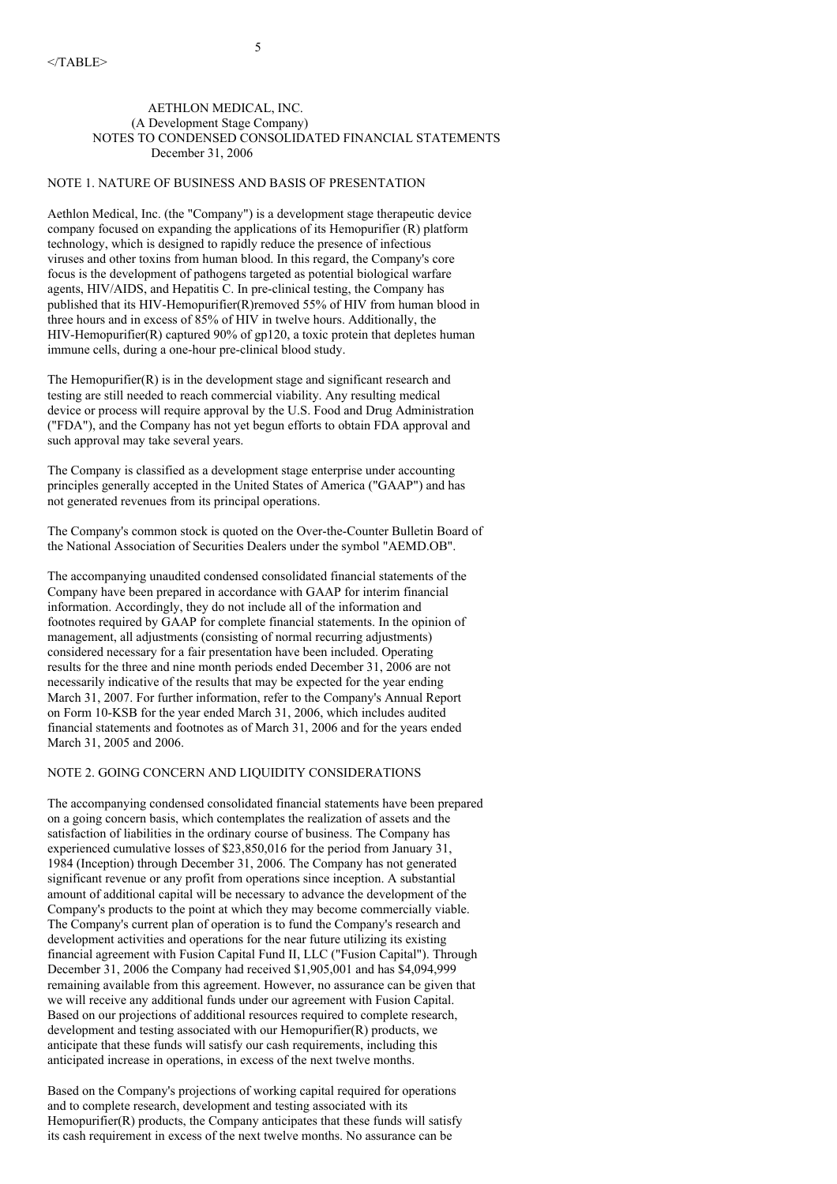## AETHLON MEDICAL, INC. (A Development Stage Company) NOTES TO CONDENSED CONSOLIDATED FINANCIAL STATEMENTS December 31, 2006

## NOTE 1. NATURE OF BUSINESS AND BASIS OF PRESENTATION

Aethlon Medical, Inc. (the "Company") is a development stage therapeutic device company focused on expanding the applications of its Hemopurifier (R) platform technology, which is designed to rapidly reduce the presence of infectious viruses and other toxins from human blood. In this regard, the Company's core focus is the development of pathogens targeted as potential biological warfare agents, HIV/AIDS, and Hepatitis C. In pre-clinical testing, the Company has published that its HIV-Hemopurifier(R)removed 55% of HIV from human blood in three hours and in excess of 85% of HIV in twelve hours. Additionally, the HIV-Hemopurifier(R) captured 90% of gp120, a toxic protein that depletes human immune cells, during a one-hour pre-clinical blood study.

The Hemopurifier(R) is in the development stage and significant research and testing are still needed to reach commercial viability. Any resulting medical device or process will require approval by the U.S. Food and Drug Administration ("FDA"), and the Company has not yet begun efforts to obtain FDA approval and such approval may take several years.

The Company is classified as a development stage enterprise under accounting principles generally accepted in the United States of America ("GAAP") and has not generated revenues from its principal operations.

The Company's common stock is quoted on the Over-the-Counter Bulletin Board of the National Association of Securities Dealers under the symbol "AEMD.OB".

The accompanying unaudited condensed consolidated financial statements of the Company have been prepared in accordance with GAAP for interim financial information. Accordingly, they do not include all of the information and footnotes required by GAAP for complete financial statements. In the opinion of management, all adjustments (consisting of normal recurring adjustments) considered necessary for a fair presentation have been included. Operating results for the three and nine month periods ended December 31, 2006 are not necessarily indicative of the results that may be expected for the year ending March 31, 2007. For further information, refer to the Company's Annual Report on Form 10-KSB for the year ended March 31, 2006, which includes audited financial statements and footnotes as of March 31, 2006 and for the years ended March 31, 2005 and 2006.

#### NOTE 2. GOING CONCERN AND LIQUIDITY CONSIDERATIONS

The accompanying condensed consolidated financial statements have been prepared on a going concern basis, which contemplates the realization of assets and the satisfaction of liabilities in the ordinary course of business. The Company has experienced cumulative losses of \$23,850,016 for the period from January 31, 1984 (Inception) through December 31, 2006. The Company has not generated significant revenue or any profit from operations since inception. A substantial amount of additional capital will be necessary to advance the development of the Company's products to the point at which they may become commercially viable. The Company's current plan of operation is to fund the Company's research and development activities and operations for the near future utilizing its existing financial agreement with Fusion Capital Fund II, LLC ("Fusion Capital"). Through December 31, 2006 the Company had received \$1,905,001 and has \$4,094,999 remaining available from this agreement. However, no assurance can be given that we will receive any additional funds under our agreement with Fusion Capital. Based on our projections of additional resources required to complete research, development and testing associated with our Hemopurifier(R) products, we anticipate that these funds will satisfy our cash requirements, including this anticipated increase in operations, in excess of the next twelve months.

Based on the Company's projections of working capital required for operations and to complete research, development and testing associated with its Hemopurifier(R) products, the Company anticipates that these funds will satisfy its cash requirement in excess of the next twelve months. No assurance can be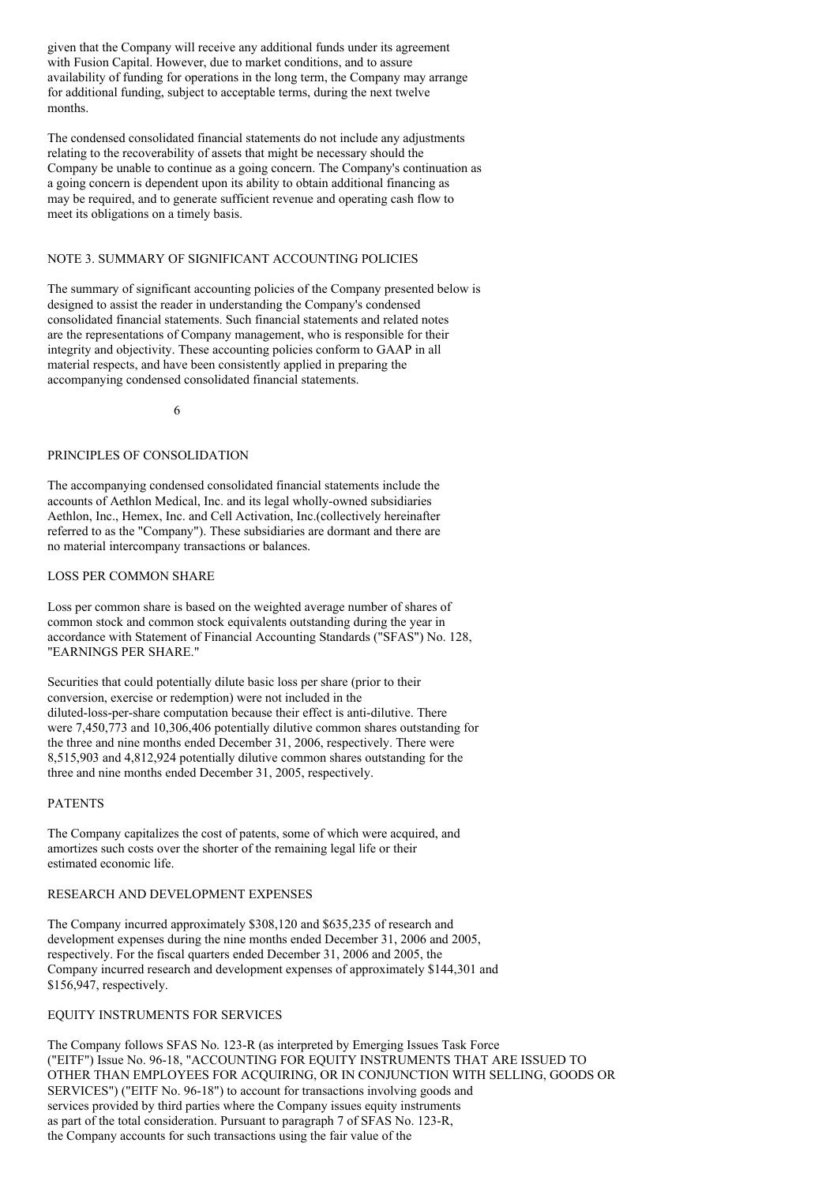given that the Company will receive any additional funds under its agreement with Fusion Capital. However, due to market conditions, and to assure availability of funding for operations in the long term, the Company may arrange for additional funding, subject to acceptable terms, during the next twelve months.

The condensed consolidated financial statements do not include any adjustments relating to the recoverability of assets that might be necessary should the Company be unable to continue as a going concern. The Company's continuation as a going concern is dependent upon its ability to obtain additional financing as may be required, and to generate sufficient revenue and operating cash flow to meet its obligations on a timely basis.

## NOTE 3. SUMMARY OF SIGNIFICANT ACCOUNTING POLICIES

The summary of significant accounting policies of the Company presented below is designed to assist the reader in understanding the Company's condensed consolidated financial statements. Such financial statements and related notes are the representations of Company management, who is responsible for their integrity and objectivity. These accounting policies conform to GAAP in all material respects, and have been consistently applied in preparing the accompanying condensed consolidated financial statements.

6

## PRINCIPLES OF CONSOLIDATION

The accompanying condensed consolidated financial statements include the accounts of Aethlon Medical, Inc. and its legal wholly-owned subsidiaries Aethlon, Inc., Hemex, Inc. and Cell Activation, Inc.(collectively hereinafter referred to as the "Company"). These subsidiaries are dormant and there are no material intercompany transactions or balances.

## LOSS PER COMMON SHARE

Loss per common share is based on the weighted average number of shares of common stock and common stock equivalents outstanding during the year in accordance with Statement of Financial Accounting Standards ("SFAS") No. 128, "EARNINGS PER SHARE."

Securities that could potentially dilute basic loss per share (prior to their conversion, exercise or redemption) were not included in the diluted-loss-per-share computation because their effect is anti-dilutive. There were 7,450,773 and 10,306,406 potentially dilutive common shares outstanding for the three and nine months ended December 31, 2006, respectively. There were 8,515,903 and 4,812,924 potentially dilutive common shares outstanding for the three and nine months ended December 31, 2005, respectively.

## PATENTS

The Company capitalizes the cost of patents, some of which were acquired, and amortizes such costs over the shorter of the remaining legal life or their estimated economic life.

## RESEARCH AND DEVELOPMENT EXPENSES

The Company incurred approximately \$308,120 and \$635,235 of research and development expenses during the nine months ended December 31, 2006 and 2005, respectively. For the fiscal quarters ended December 31, 2006 and 2005, the Company incurred research and development expenses of approximately \$144,301 and \$156,947, respectively.

## EQUITY INSTRUMENTS FOR SERVICES

The Company follows SFAS No. 123-R (as interpreted by Emerging Issues Task Force ("EITF") Issue No. 96-18, "ACCOUNTING FOR EQUITY INSTRUMENTS THAT ARE ISSUED TO OTHER THAN EMPLOYEES FOR ACQUIRING, OR IN CONJUNCTION WITH SELLING, GOODS OR SERVICES") ("EITF No. 96-18") to account for transactions involving goods and services provided by third parties where the Company issues equity instruments as part of the total consideration. Pursuant to paragraph 7 of SFAS No. 123-R, the Company accounts for such transactions using the fair value of the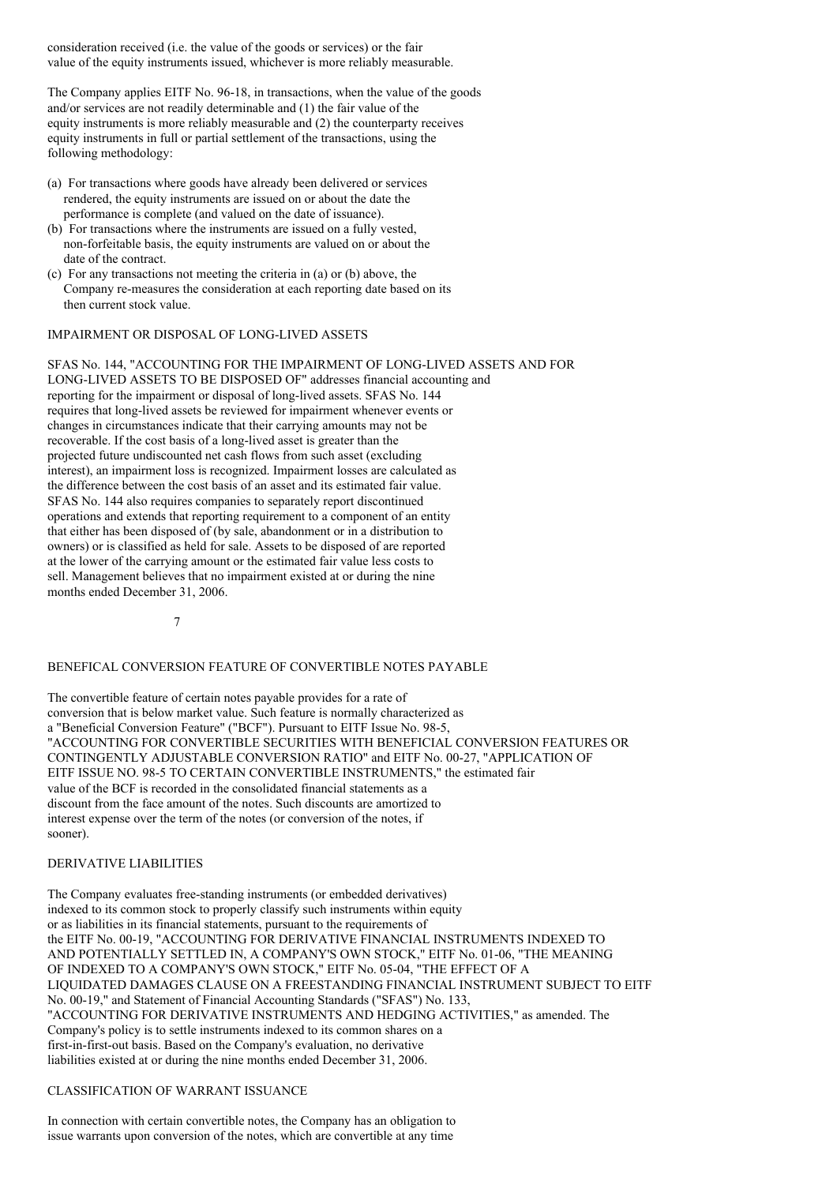consideration received (i.e. the value of the goods or services) or the fair value of the equity instruments issued, whichever is more reliably measurable.

The Company applies EITF No. 96-18, in transactions, when the value of the goods and/or services are not readily determinable and (1) the fair value of the equity instruments is more reliably measurable and (2) the counterparty receives equity instruments in full or partial settlement of the transactions, using the following methodology:

- (a) For transactions where goods have already been delivered or services rendered, the equity instruments are issued on or about the date the performance is complete (and valued on the date of issuance).
- (b) For transactions where the instruments are issued on a fully vested, non-forfeitable basis, the equity instruments are valued on or about the date of the contract.
- (c) For any transactions not meeting the criteria in (a) or (b) above, the Company re-measures the consideration at each reporting date based on its then current stock value.

## IMPAIRMENT OR DISPOSAL OF LONG-LIVED ASSETS

SFAS No. 144, "ACCOUNTING FOR THE IMPAIRMENT OF LONG-LIVED ASSETS AND FOR LONG-LIVED ASSETS TO BE DISPOSED OF" addresses financial accounting and reporting for the impairment or disposal of long-lived assets. SFAS No. 144 requires that long-lived assets be reviewed for impairment whenever events or changes in circumstances indicate that their carrying amounts may not be recoverable. If the cost basis of a long-lived asset is greater than the projected future undiscounted net cash flows from such asset (excluding interest), an impairment loss is recognized. Impairment losses are calculated as the difference between the cost basis of an asset and its estimated fair value. SFAS No. 144 also requires companies to separately report discontinued operations and extends that reporting requirement to a component of an entity that either has been disposed of (by sale, abandonment or in a distribution to owners) or is classified as held for sale. Assets to be disposed of are reported at the lower of the carrying amount or the estimated fair value less costs to sell. Management believes that no impairment existed at or during the nine months ended December 31, 2006.

7

#### BENEFICAL CONVERSION FEATURE OF CONVERTIBLE NOTES PAYABLE

The convertible feature of certain notes payable provides for a rate of conversion that is below market value. Such feature is normally characterized as a "Beneficial Conversion Feature" ("BCF"). Pursuant to EITF Issue No. 98-5, "ACCOUNTING FOR CONVERTIBLE SECURITIES WITH BENEFICIAL CONVERSION FEATURES OR CONTINGENTLY ADJUSTABLE CONVERSION RATIO" and EITF No. 00-27, "APPLICATION OF EITF ISSUE NO. 98-5 TO CERTAIN CONVERTIBLE INSTRUMENTS," the estimated fair value of the BCF is recorded in the consolidated financial statements as a discount from the face amount of the notes. Such discounts are amortized to interest expense over the term of the notes (or conversion of the notes, if sooner).

## DERIVATIVE LIABILITIES

The Company evaluates free-standing instruments (or embedded derivatives) indexed to its common stock to properly classify such instruments within equity or as liabilities in its financial statements, pursuant to the requirements of the EITF No. 00-19, "ACCOUNTING FOR DERIVATIVE FINANCIAL INSTRUMENTS INDEXED TO AND POTENTIALLY SETTLED IN, A COMPANY'S OWN STOCK," EITF No. 01-06, "THE MEANING OF INDEXED TO A COMPANY'S OWN STOCK," EITF No. 05-04, "THE EFFECT OF A LIQUIDATED DAMAGES CLAUSE ON A FREESTANDING FINANCIAL INSTRUMENT SUBJECT TO EITF No. 00-19," and Statement of Financial Accounting Standards ("SFAS") No. 133, "ACCOUNTING FOR DERIVATIVE INSTRUMENTS AND HEDGING ACTIVITIES," as amended. The Company's policy is to settle instruments indexed to its common shares on a first-in-first-out basis. Based on the Company's evaluation, no derivative liabilities existed at or during the nine months ended December 31, 2006.

## CLASSIFICATION OF WARRANT ISSUANCE

In connection with certain convertible notes, the Company has an obligation to issue warrants upon conversion of the notes, which are convertible at any time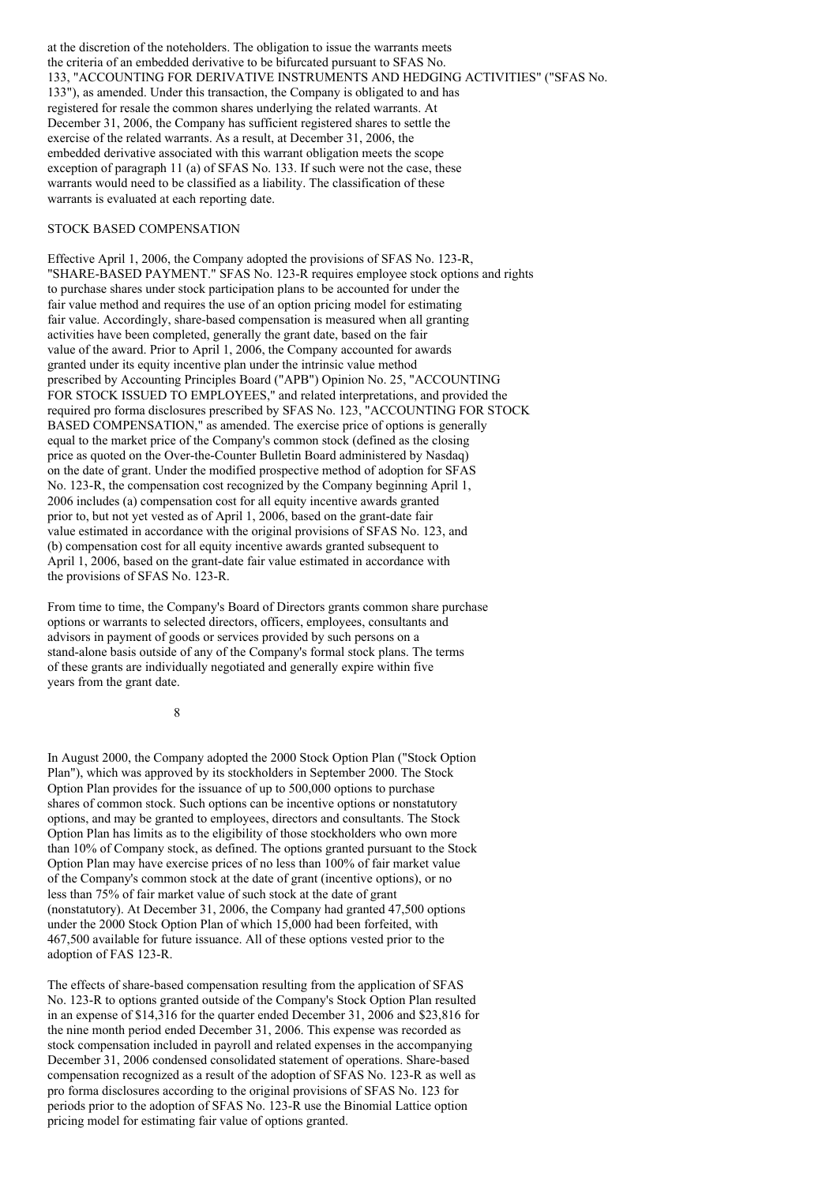at the discretion of the noteholders. The obligation to issue the warrants meets the criteria of an embedded derivative to be bifurcated pursuant to SFAS No. 133, "ACCOUNTING FOR DERIVATIVE INSTRUMENTS AND HEDGING ACTIVITIES" ("SFAS No. 133"), as amended. Under this transaction, the Company is obligated to and has registered for resale the common shares underlying the related warrants. At December 31, 2006, the Company has sufficient registered shares to settle the exercise of the related warrants. As a result, at December 31, 2006, the embedded derivative associated with this warrant obligation meets the scope exception of paragraph 11 (a) of SFAS No. 133. If such were not the case, these warrants would need to be classified as a liability. The classification of these warrants is evaluated at each reporting date.

#### STOCK BASED COMPENSATION

Effective April 1, 2006, the Company adopted the provisions of SFAS No. 123-R, "SHARE-BASED PAYMENT." SFAS No. 123-R requires employee stock options and rights to purchase shares under stock participation plans to be accounted for under the fair value method and requires the use of an option pricing model for estimating fair value. Accordingly, share-based compensation is measured when all granting activities have been completed, generally the grant date, based on the fair value of the award. Prior to April 1, 2006, the Company accounted for awards granted under its equity incentive plan under the intrinsic value method prescribed by Accounting Principles Board ("APB") Opinion No. 25, "ACCOUNTING FOR STOCK ISSUED TO EMPLOYEES," and related interpretations, and provided the required pro forma disclosures prescribed by SFAS No. 123, "ACCOUNTING FOR STOCK BASED COMPENSATION," as amended. The exercise price of options is generally equal to the market price of the Company's common stock (defined as the closing price as quoted on the Over-the-Counter Bulletin Board administered by Nasdaq) on the date of grant. Under the modified prospective method of adoption for SFAS No. 123-R, the compensation cost recognized by the Company beginning April 1, 2006 includes (a) compensation cost for all equity incentive awards granted prior to, but not yet vested as of April 1, 2006, based on the grant-date fair value estimated in accordance with the original provisions of SFAS No. 123, and (b) compensation cost for all equity incentive awards granted subsequent to April 1, 2006, based on the grant-date fair value estimated in accordance with the provisions of SFAS No. 123-R.

From time to time, the Company's Board of Directors grants common share purchase options or warrants to selected directors, officers, employees, consultants and advisors in payment of goods or services provided by such persons on a stand-alone basis outside of any of the Company's formal stock plans. The terms of these grants are individually negotiated and generally expire within five years from the grant date.

8

In August 2000, the Company adopted the 2000 Stock Option Plan ("Stock Option Plan"), which was approved by its stockholders in September 2000. The Stock Option Plan provides for the issuance of up to 500,000 options to purchase shares of common stock. Such options can be incentive options or nonstatutory options, and may be granted to employees, directors and consultants. The Stock Option Plan has limits as to the eligibility of those stockholders who own more than 10% of Company stock, as defined. The options granted pursuant to the Stock Option Plan may have exercise prices of no less than 100% of fair market value of the Company's common stock at the date of grant (incentive options), or no less than 75% of fair market value of such stock at the date of grant (nonstatutory). At December 31, 2006, the Company had granted 47,500 options under the 2000 Stock Option Plan of which 15,000 had been forfeited, with 467,500 available for future issuance. All of these options vested prior to the adoption of FAS 123-R.

The effects of share-based compensation resulting from the application of SFAS No. 123-R to options granted outside of the Company's Stock Option Plan resulted in an expense of \$14,316 for the quarter ended December 31, 2006 and \$23,816 for the nine month period ended December 31, 2006. This expense was recorded as stock compensation included in payroll and related expenses in the accompanying December 31, 2006 condensed consolidated statement of operations. Share-based compensation recognized as a result of the adoption of SFAS No. 123-R as well as pro forma disclosures according to the original provisions of SFAS No. 123 for periods prior to the adoption of SFAS No. 123-R use the Binomial Lattice option pricing model for estimating fair value of options granted.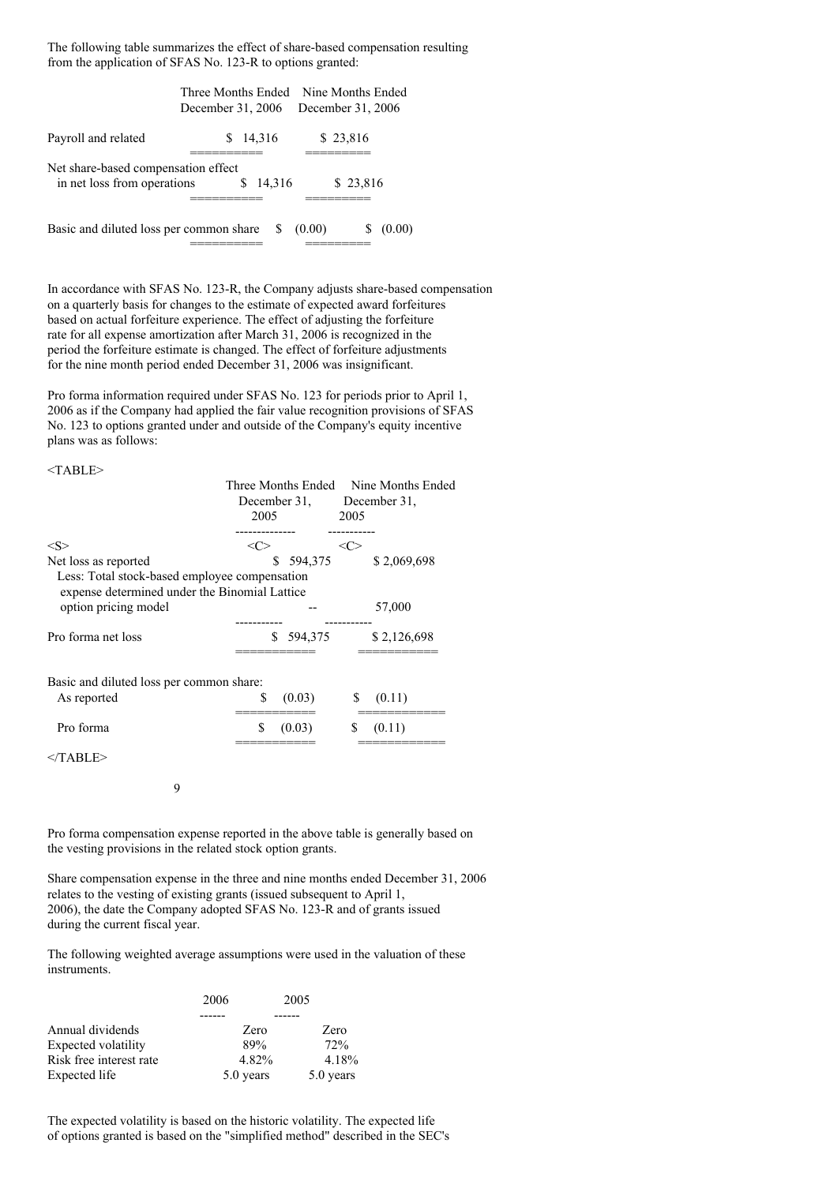The following table summarizes the effect of share-based compensation resulting from the application of SFAS No. 123-R to options granted:

|                                                                    | December 31, 2006 | Three Months Ended Nine Months Ended<br>December 31, 2006 |
|--------------------------------------------------------------------|-------------------|-----------------------------------------------------------|
| Payroll and related                                                | 14,316            | \$23,816                                                  |
| Net share-based compensation effect<br>in net loss from operations | 14.316            | \$23,816                                                  |
| Basic and diluted loss per common share                            |                   | (0.00)<br>(0.00)                                          |

In accordance with SFAS No. 123-R, the Company adjusts share-based compensation on a quarterly basis for changes to the estimate of expected award forfeitures based on actual forfeiture experience. The effect of adjusting the forfeiture rate for all expense amortization after March 31, 2006 is recognized in the period the forfeiture estimate is changed. The effect of forfeiture adjustments for the nine month period ended December 31, 2006 was insignificant.

========== =========

Pro forma information required under SFAS No. 123 for periods prior to April 1, 2006 as if the Company had applied the fair value recognition provisions of SFAS No. 123 to options granted under and outside of the Company's equity incentive plans was as follows:

#### <TABLE>

|                                                                                                | December 31,<br>2005 | Three Months Ended Nine Months Ended<br>December 31,<br>2005 |
|------------------------------------------------------------------------------------------------|----------------------|--------------------------------------------------------------|
| $<\!\!S\!\!>$                                                                                  | <<>                  | <c></c>                                                      |
| Net loss as reported                                                                           | 594,375<br>S         | \$2,069,698                                                  |
| Less: Total stock-based employee compensation<br>expense determined under the Binomial Lattice |                      |                                                              |
| option pricing model                                                                           |                      | 57,000                                                       |
| Pro forma net loss                                                                             | \$594,375            | .<br>\$2,126,698                                             |
| Basic and diluted loss per common share:                                                       |                      |                                                              |
| As reported                                                                                    | \$<br>(0.03)         | (0.11)<br>S                                                  |
| Pro forma                                                                                      | S<br>(0.03)          | S<br>(0.11)                                                  |
|                                                                                                |                      |                                                              |

  |  |9

Pro forma compensation expense reported in the above table is generally based on the vesting provisions in the related stock option grants.

Share compensation expense in the three and nine months ended December 31, 2006 relates to the vesting of existing grants (issued subsequent to April 1, 2006), the date the Company adopted SFAS No. 123-R and of grants issued during the current fiscal year.

The following weighted average assumptions were used in the valuation of these instruments.

|                         | 2006      | 2005 |           |
|-------------------------|-----------|------|-----------|
|                         |           |      |           |
| Annual dividends        | Zero      |      | Zero      |
| Expected volatility     | 89%       |      | 72%       |
| Risk free interest rate | 4.82%     |      | 4.18%     |
| Expected life           | 5.0 years |      | 5.0 years |

The expected volatility is based on the historic volatility. The expected life of options granted is based on the "simplified method" described in the SEC's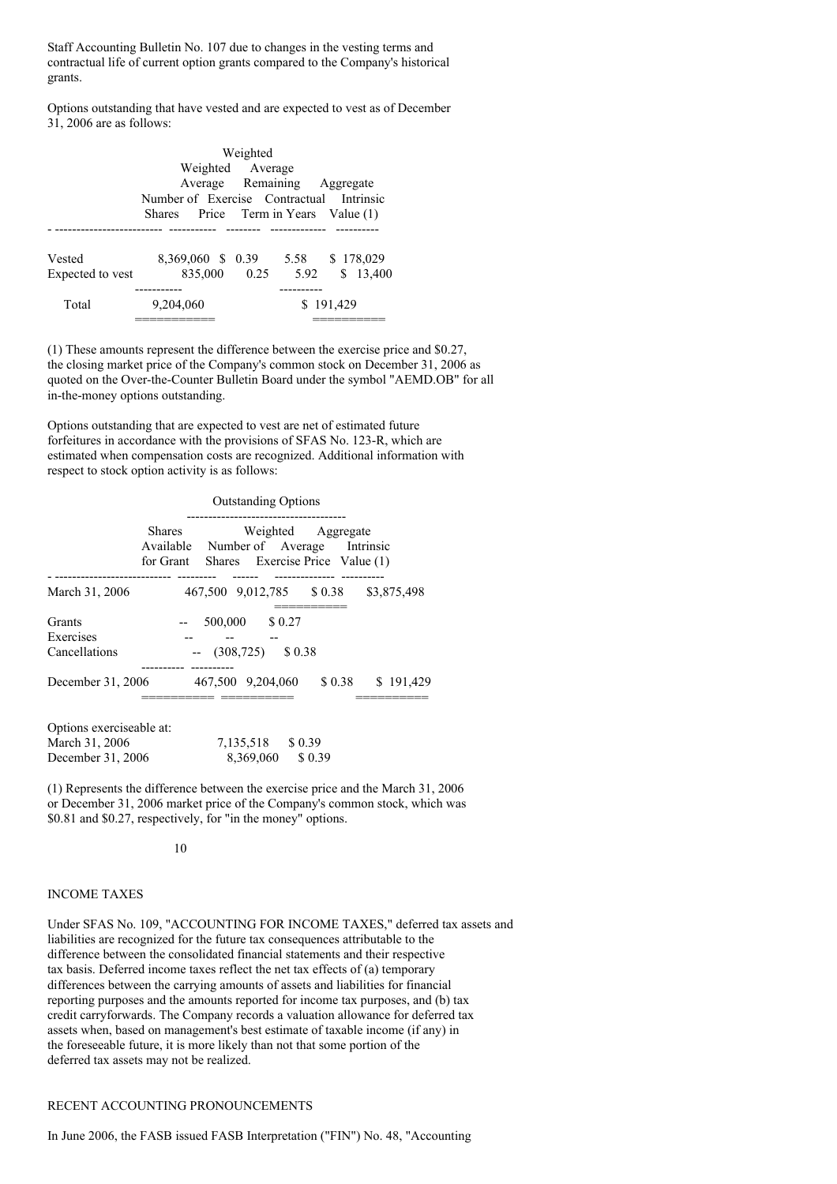Staff Accounting Bulletin No. 107 due to changes in the vesting terms and contractual life of current option grants compared to the Company's historical grants.

Options outstanding that have vested and are expected to vest as of December 31, 2006 are as follows:

|                  | Weighted                                 |           |      |           |  |  |
|------------------|------------------------------------------|-----------|------|-----------|--|--|
|                  | Weighted Average                         |           |      |           |  |  |
|                  | Average Remaining Aggregate              |           |      |           |  |  |
|                  | Number of Exercise Contractual Intrinsic |           |      |           |  |  |
|                  | Shares Price Term in Years Value (1)     |           |      |           |  |  |
|                  |                                          |           |      |           |  |  |
| Vested           | 8,369,060 \$ 0.39                        |           | 5.58 | \$178,029 |  |  |
| Expected to vest | 835,000 0.25 5.92                        |           |      | \$13,400  |  |  |
|                  |                                          |           | .    |           |  |  |
| Total            | 9,204,060                                | \$191,429 |      |           |  |  |
|                  |                                          |           |      |           |  |  |

(1) These amounts represent the difference between the exercise price and \$0.27, the closing market price of the Company's common stock on December 31, 2006 as quoted on the Over-the-Counter Bulletin Board under the symbol "AEMD.OB" for all in-the-money options outstanding.

Options outstanding that are expected to vest are net of estimated future forfeitures in accordance with the provisions of SFAS No. 123-R, which are estimated when compensation costs are recognized. Additional information with respect to stock option activity is as follows:

## Outstanding Options

|                                            | <b>Shares</b><br>Available Number of Average<br>for Grant | Shares Exercise Price Value (1) | Weighted Aggregate |         | Intrinsic   |
|--------------------------------------------|-----------------------------------------------------------|---------------------------------|--------------------|---------|-------------|
| March 31, 2006                             |                                                           | 467,500 9,012,785               |                    | \$ 0.38 | \$3,875,498 |
| Grants<br>Exercises<br>Cancellations       |                                                           | 500,000<br>(308, 725)           | \$ 0.27<br>\$0.38  |         |             |
| December 31, 2006                          |                                                           | 467,500 9,204,060               |                    | \$0.38  | \$191,429   |
| Options exerciseable at:<br>March 31, 2006 |                                                           | 7,135,518                       | \$0.39             |         |             |

December 31, 2006 8,369,060 \$ 0.39

(1) Represents the difference between the exercise price and the March 31, 2006 or December 31, 2006 market price of the Company's common stock, which was \$0.81 and \$0.27, respectively, for "in the money" options.

#### 10

## INCOME TAXES

Under SFAS No. 109, "ACCOUNTING FOR INCOME TAXES," deferred tax assets and liabilities are recognized for the future tax consequences attributable to the difference between the consolidated financial statements and their respective tax basis. Deferred income taxes reflect the net tax effects of (a) temporary differences between the carrying amounts of assets and liabilities for financial reporting purposes and the amounts reported for income tax purposes, and (b) tax credit carryforwards. The Company records a valuation allowance for deferred tax assets when, based on management's best estimate of taxable income (if any) in the foreseeable future, it is more likely than not that some portion of the deferred tax assets may not be realized.

## RECENT ACCOUNTING PRONOUNCEMENTS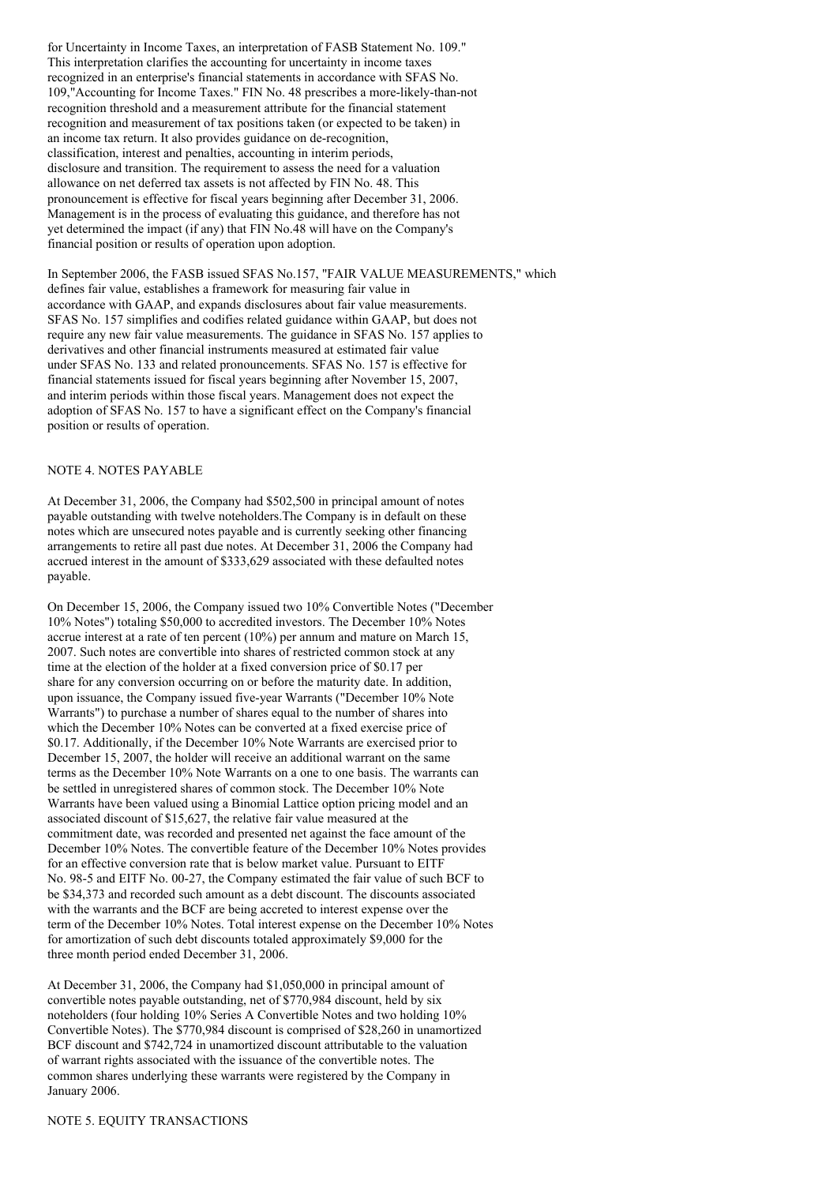for Uncertainty in Income Taxes, an interpretation of FASB Statement No. 109." This interpretation clarifies the accounting for uncertainty in income taxes recognized in an enterprise's financial statements in accordance with SFAS No. 109,"Accounting for Income Taxes." FIN No. 48 prescribes a more-likely-than-not recognition threshold and a measurement attribute for the financial statement recognition and measurement of tax positions taken (or expected to be taken) in an income tax return. It also provides guidance on de-recognition, classification, interest and penalties, accounting in interim periods, disclosure and transition. The requirement to assess the need for a valuation allowance on net deferred tax assets is not affected by FIN No. 48. This pronouncement is effective for fiscal years beginning after December 31, 2006. Management is in the process of evaluating this guidance, and therefore has not yet determined the impact (if any) that FIN No.48 will have on the Company's financial position or results of operation upon adoption.

In September 2006, the FASB issued SFAS No.157, "FAIR VALUE MEASUREMENTS," which defines fair value, establishes a framework for measuring fair value in accordance with GAAP, and expands disclosures about fair value measurements. SFAS No. 157 simplifies and codifies related guidance within GAAP, but does not require any new fair value measurements. The guidance in SFAS No. 157 applies to derivatives and other financial instruments measured at estimated fair value under SFAS No. 133 and related pronouncements. SFAS No. 157 is effective for financial statements issued for fiscal years beginning after November 15, 2007, and interim periods within those fiscal years. Management does not expect the adoption of SFAS No. 157 to have a significant effect on the Company's financial position or results of operation.

## NOTE 4. NOTES PAYABLE

At December 31, 2006, the Company had \$502,500 in principal amount of notes payable outstanding with twelve noteholders.The Company is in default on these notes which are unsecured notes payable and is currently seeking other financing arrangements to retire all past due notes. At December 31, 2006 the Company had accrued interest in the amount of \$333,629 associated with these defaulted notes payable.

On December 15, 2006, the Company issued two 10% Convertible Notes ("December 10% Notes") totaling \$50,000 to accredited investors. The December 10% Notes accrue interest at a rate of ten percent (10%) per annum and mature on March 15, 2007. Such notes are convertible into shares of restricted common stock at any time at the election of the holder at a fixed conversion price of \$0.17 per share for any conversion occurring on or before the maturity date. In addition, upon issuance, the Company issued five-year Warrants ("December 10% Note Warrants") to purchase a number of shares equal to the number of shares into which the December 10% Notes can be converted at a fixed exercise price of \$0.17. Additionally, if the December 10% Note Warrants are exercised prior to December 15, 2007, the holder will receive an additional warrant on the same terms as the December 10% Note Warrants on a one to one basis. The warrants can be settled in unregistered shares of common stock. The December 10% Note Warrants have been valued using a Binomial Lattice option pricing model and an associated discount of \$15,627, the relative fair value measured at the commitment date, was recorded and presented net against the face amount of the December 10% Notes. The convertible feature of the December 10% Notes provides for an effective conversion rate that is below market value. Pursuant to EITF No. 98-5 and EITF No. 00-27, the Company estimated the fair value of such BCF to be \$34,373 and recorded such amount as a debt discount. The discounts associated with the warrants and the BCF are being accreted to interest expense over the term of the December 10% Notes. Total interest expense on the December 10% Notes for amortization of such debt discounts totaled approximately \$9,000 for the three month period ended December 31, 2006.

At December 31, 2006, the Company had \$1,050,000 in principal amount of convertible notes payable outstanding, net of \$770,984 discount, held by six noteholders (four holding 10% Series A Convertible Notes and two holding 10% Convertible Notes). The \$770,984 discount is comprised of \$28,260 in unamortized BCF discount and \$742,724 in unamortized discount attributable to the valuation of warrant rights associated with the issuance of the convertible notes. The common shares underlying these warrants were registered by the Company in January 2006.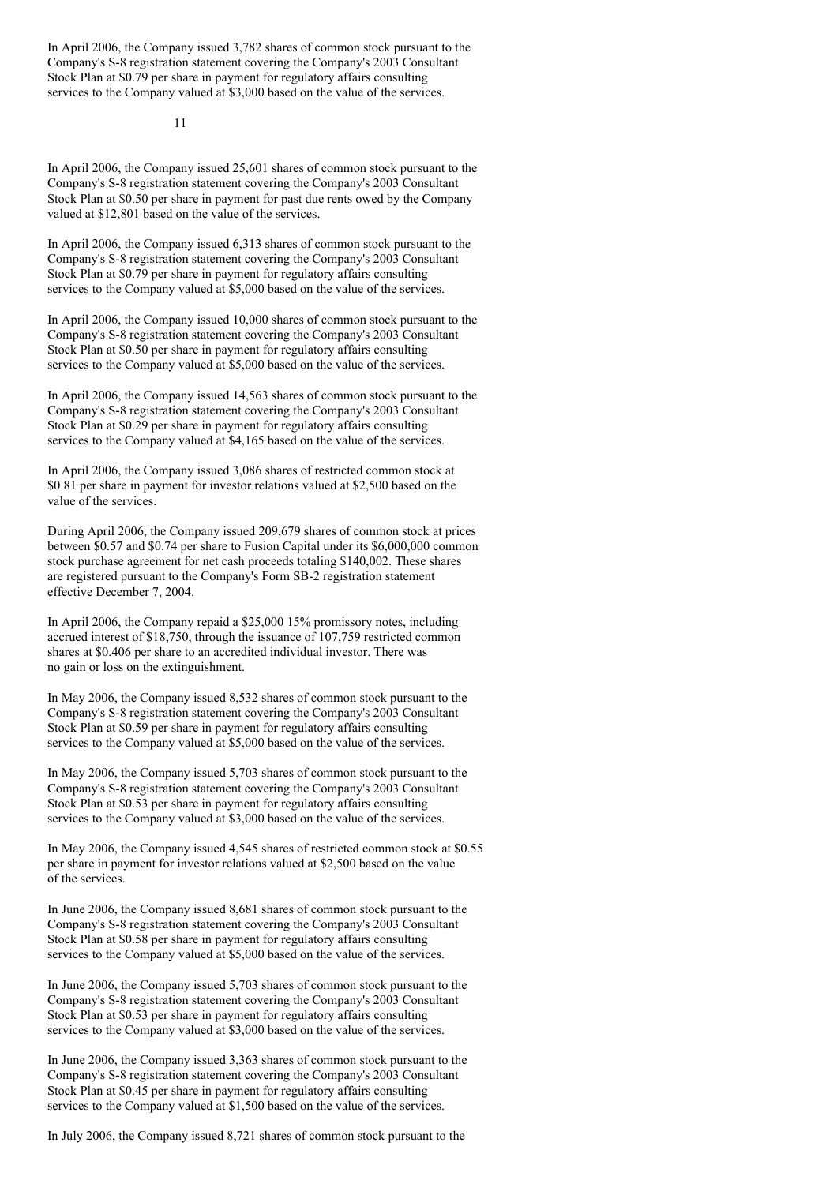In April 2006, the Company issued 3,782 shares of common stock pursuant to the Company's S-8 registration statement covering the Company's 2003 Consultant Stock Plan at \$0.79 per share in payment for regulatory affairs consulting services to the Company valued at \$3,000 based on the value of the services.

11

In April 2006, the Company issued 25,601 shares of common stock pursuant to the Company's S-8 registration statement covering the Company's 2003 Consultant Stock Plan at \$0.50 per share in payment for past due rents owed by the Company valued at \$12,801 based on the value of the services.

In April 2006, the Company issued 6,313 shares of common stock pursuant to the Company's S-8 registration statement covering the Company's 2003 Consultant Stock Plan at \$0.79 per share in payment for regulatory affairs consulting services to the Company valued at \$5,000 based on the value of the services.

In April 2006, the Company issued 10,000 shares of common stock pursuant to the Company's S-8 registration statement covering the Company's 2003 Consultant Stock Plan at \$0.50 per share in payment for regulatory affairs consulting services to the Company valued at \$5,000 based on the value of the services.

In April 2006, the Company issued 14,563 shares of common stock pursuant to the Company's S-8 registration statement covering the Company's 2003 Consultant Stock Plan at \$0.29 per share in payment for regulatory affairs consulting services to the Company valued at \$4,165 based on the value of the services.

In April 2006, the Company issued 3,086 shares of restricted common stock at \$0.81 per share in payment for investor relations valued at \$2,500 based on the value of the services.

During April 2006, the Company issued 209,679 shares of common stock at prices between \$0.57 and \$0.74 per share to Fusion Capital under its \$6,000,000 common stock purchase agreement for net cash proceeds totaling \$140,002. These shares are registered pursuant to the Company's Form SB-2 registration statement effective December 7, 2004.

In April 2006, the Company repaid a \$25,000 15% promissory notes, including accrued interest of \$18,750, through the issuance of 107,759 restricted common shares at \$0.406 per share to an accredited individual investor. There was no gain or loss on the extinguishment.

In May 2006, the Company issued 8,532 shares of common stock pursuant to the Company's S-8 registration statement covering the Company's 2003 Consultant Stock Plan at \$0.59 per share in payment for regulatory affairs consulting services to the Company valued at \$5,000 based on the value of the services.

In May 2006, the Company issued 5,703 shares of common stock pursuant to the Company's S-8 registration statement covering the Company's 2003 Consultant Stock Plan at \$0.53 per share in payment for regulatory affairs consulting services to the Company valued at \$3,000 based on the value of the services.

In May 2006, the Company issued 4,545 shares of restricted common stock at \$0.55 per share in payment for investor relations valued at \$2,500 based on the value of the services.

In June 2006, the Company issued 8,681 shares of common stock pursuant to the Company's S-8 registration statement covering the Company's 2003 Consultant Stock Plan at \$0.58 per share in payment for regulatory affairs consulting services to the Company valued at \$5,000 based on the value of the services.

In June 2006, the Company issued 5,703 shares of common stock pursuant to the Company's S-8 registration statement covering the Company's 2003 Consultant Stock Plan at \$0.53 per share in payment for regulatory affairs consulting services to the Company valued at \$3,000 based on the value of the services.

In June 2006, the Company issued 3,363 shares of common stock pursuant to the Company's S-8 registration statement covering the Company's 2003 Consultant Stock Plan at \$0.45 per share in payment for regulatory affairs consulting services to the Company valued at \$1,500 based on the value of the services.

In July 2006, the Company issued 8,721 shares of common stock pursuant to the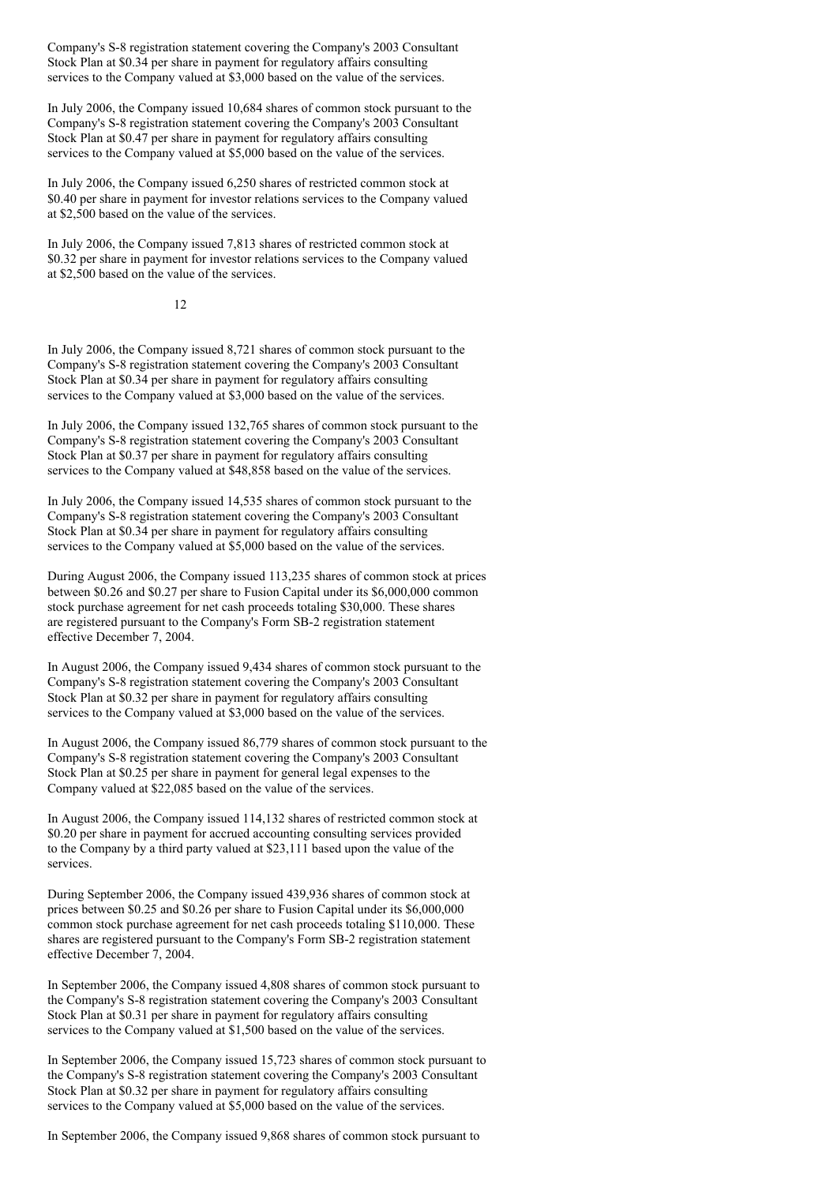Company's S-8 registration statement covering the Company's 2003 Consultant Stock Plan at \$0.34 per share in payment for regulatory affairs consulting services to the Company valued at \$3,000 based on the value of the services.

In July 2006, the Company issued 10,684 shares of common stock pursuant to the Company's S-8 registration statement covering the Company's 2003 Consultant Stock Plan at \$0.47 per share in payment for regulatory affairs consulting services to the Company valued at \$5,000 based on the value of the services.

In July 2006, the Company issued 6,250 shares of restricted common stock at \$0.40 per share in payment for investor relations services to the Company valued at \$2,500 based on the value of the services.

In July 2006, the Company issued 7,813 shares of restricted common stock at \$0.32 per share in payment for investor relations services to the Company valued at \$2,500 based on the value of the services.

#### $12$

In July 2006, the Company issued 8,721 shares of common stock pursuant to the Company's S-8 registration statement covering the Company's 2003 Consultant Stock Plan at \$0.34 per share in payment for regulatory affairs consulting services to the Company valued at \$3,000 based on the value of the services.

In July 2006, the Company issued 132,765 shares of common stock pursuant to the Company's S-8 registration statement covering the Company's 2003 Consultant Stock Plan at \$0.37 per share in payment for regulatory affairs consulting services to the Company valued at \$48,858 based on the value of the services.

In July 2006, the Company issued 14,535 shares of common stock pursuant to the Company's S-8 registration statement covering the Company's 2003 Consultant Stock Plan at \$0.34 per share in payment for regulatory affairs consulting services to the Company valued at \$5,000 based on the value of the services.

During August 2006, the Company issued 113,235 shares of common stock at prices between \$0.26 and \$0.27 per share to Fusion Capital under its \$6,000,000 common stock purchase agreement for net cash proceeds totaling \$30,000. These shares are registered pursuant to the Company's Form SB-2 registration statement effective December 7, 2004.

In August 2006, the Company issued 9,434 shares of common stock pursuant to the Company's S-8 registration statement covering the Company's 2003 Consultant Stock Plan at \$0.32 per share in payment for regulatory affairs consulting services to the Company valued at \$3,000 based on the value of the services.

In August 2006, the Company issued 86,779 shares of common stock pursuant to the Company's S-8 registration statement covering the Company's 2003 Consultant Stock Plan at \$0.25 per share in payment for general legal expenses to the Company valued at \$22,085 based on the value of the services.

In August 2006, the Company issued 114,132 shares of restricted common stock at \$0.20 per share in payment for accrued accounting consulting services provided to the Company by a third party valued at \$23,111 based upon the value of the services.

During September 2006, the Company issued 439,936 shares of common stock at prices between \$0.25 and \$0.26 per share to Fusion Capital under its \$6,000,000 common stock purchase agreement for net cash proceeds totaling \$110,000. These shares are registered pursuant to the Company's Form SB-2 registration statement effective December 7, 2004.

In September 2006, the Company issued 4,808 shares of common stock pursuant to the Company's S-8 registration statement covering the Company's 2003 Consultant Stock Plan at \$0.31 per share in payment for regulatory affairs consulting services to the Company valued at \$1,500 based on the value of the services.

In September 2006, the Company issued 15,723 shares of common stock pursuant to the Company's S-8 registration statement covering the Company's 2003 Consultant Stock Plan at \$0.32 per share in payment for regulatory affairs consulting services to the Company valued at \$5,000 based on the value of the services.

In September 2006, the Company issued 9,868 shares of common stock pursuant to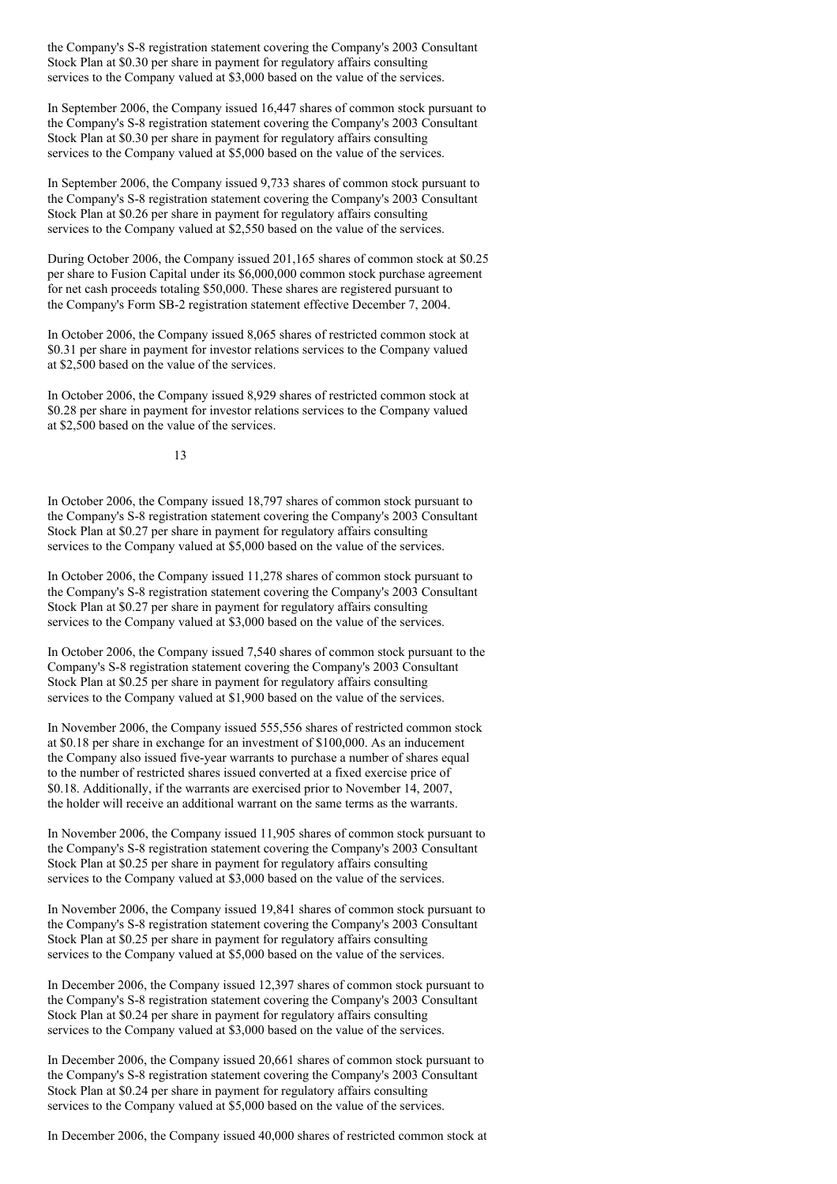the Company's S-8 registration statement covering the Company's 2003 Consultant Stock Plan at \$0.30 per share in payment for regulatory affairs consulting services to the Company valued at \$3,000 based on the value of the services.

In September 2006, the Company issued 16,447 shares of common stock pursuant to the Company's S-8 registration statement covering the Company's 2003 Consultant Stock Plan at \$0.30 per share in payment for regulatory affairs consulting services to the Company valued at \$5,000 based on the value of the services.

In September 2006, the Company issued 9,733 shares of common stock pursuant to the Company's S-8 registration statement covering the Company's 2003 Consultant Stock Plan at \$0.26 per share in payment for regulatory affairs consulting services to the Company valued at \$2,550 based on the value of the services.

During October 2006, the Company issued 201,165 shares of common stock at \$0.25 per share to Fusion Capital under its \$6,000,000 common stock purchase agreement for net cash proceeds totaling \$50,000. These shares are registered pursuant to the Company's Form SB-2 registration statement effective December 7, 2004.

In October 2006, the Company issued 8,065 shares of restricted common stock at \$0.31 per share in payment for investor relations services to the Company valued at \$2,500 based on the value of the services.

In October 2006, the Company issued 8,929 shares of restricted common stock at \$0.28 per share in payment for investor relations services to the Company valued at \$2,500 based on the value of the services.

13

In October 2006, the Company issued 18,797 shares of common stock pursuant to the Company's S-8 registration statement covering the Company's 2003 Consultant Stock Plan at \$0.27 per share in payment for regulatory affairs consulting services to the Company valued at \$5,000 based on the value of the services.

In October 2006, the Company issued 11,278 shares of common stock pursuant to the Company's S-8 registration statement covering the Company's 2003 Consultant Stock Plan at \$0.27 per share in payment for regulatory affairs consulting services to the Company valued at \$3,000 based on the value of the services.

In October 2006, the Company issued 7,540 shares of common stock pursuant to the Company's S-8 registration statement covering the Company's 2003 Consultant Stock Plan at \$0.25 per share in payment for regulatory affairs consulting services to the Company valued at \$1,900 based on the value of the services.

In November 2006, the Company issued 555,556 shares of restricted common stock at \$0.18 per share in exchange for an investment of \$100,000. As an inducement the Company also issued five-year warrants to purchase a number of shares equal to the number of restricted shares issued converted at a fixed exercise price of \$0.18. Additionally, if the warrants are exercised prior to November 14, 2007, the holder will receive an additional warrant on the same terms as the warrants.

In November 2006, the Company issued 11,905 shares of common stock pursuant to the Company's S-8 registration statement covering the Company's 2003 Consultant Stock Plan at \$0.25 per share in payment for regulatory affairs consulting services to the Company valued at \$3,000 based on the value of the services.

In November 2006, the Company issued 19,841 shares of common stock pursuant to the Company's S-8 registration statement covering the Company's 2003 Consultant Stock Plan at \$0.25 per share in payment for regulatory affairs consulting services to the Company valued at \$5,000 based on the value of the services.

In December 2006, the Company issued 12,397 shares of common stock pursuant to the Company's S-8 registration statement covering the Company's 2003 Consultant Stock Plan at \$0.24 per share in payment for regulatory affairs consulting services to the Company valued at \$3,000 based on the value of the services.

In December 2006, the Company issued 20,661 shares of common stock pursuant to the Company's S-8 registration statement covering the Company's 2003 Consultant Stock Plan at \$0.24 per share in payment for regulatory affairs consulting services to the Company valued at \$5,000 based on the value of the services.

In December 2006, the Company issued 40,000 shares of restricted common stock at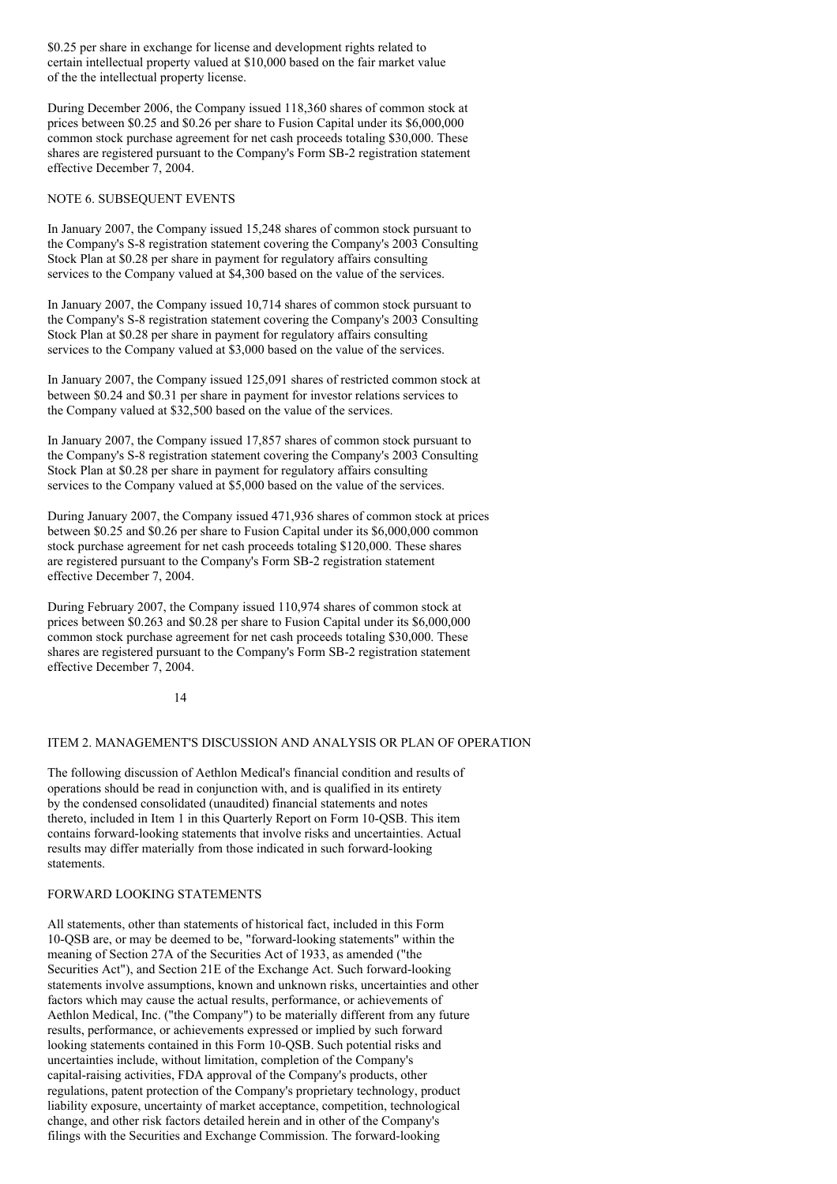\$0.25 per share in exchange for license and development rights related to certain intellectual property valued at \$10,000 based on the fair market value of the the intellectual property license.

During December 2006, the Company issued 118,360 shares of common stock at prices between \$0.25 and \$0.26 per share to Fusion Capital under its \$6,000,000 common stock purchase agreement for net cash proceeds totaling \$30,000. These shares are registered pursuant to the Company's Form SB-2 registration statement effective December 7, 2004.

#### NOTE 6. SUBSEQUENT EVENTS

In January 2007, the Company issued 15,248 shares of common stock pursuant to the Company's S-8 registration statement covering the Company's 2003 Consulting Stock Plan at \$0.28 per share in payment for regulatory affairs consulting services to the Company valued at \$4,300 based on the value of the services.

In January 2007, the Company issued 10,714 shares of common stock pursuant to the Company's S-8 registration statement covering the Company's 2003 Consulting Stock Plan at \$0.28 per share in payment for regulatory affairs consulting services to the Company valued at \$3,000 based on the value of the services.

In January 2007, the Company issued 125,091 shares of restricted common stock at between \$0.24 and \$0.31 per share in payment for investor relations services to the Company valued at \$32,500 based on the value of the services.

In January 2007, the Company issued 17,857 shares of common stock pursuant to the Company's S-8 registration statement covering the Company's 2003 Consulting Stock Plan at \$0.28 per share in payment for regulatory affairs consulting services to the Company valued at \$5,000 based on the value of the services.

During January 2007, the Company issued 471,936 shares of common stock at prices between \$0.25 and \$0.26 per share to Fusion Capital under its \$6,000,000 common stock purchase agreement for net cash proceeds totaling \$120,000. These shares are registered pursuant to the Company's Form SB-2 registration statement effective December 7, 2004.

During February 2007, the Company issued 110,974 shares of common stock at prices between \$0.263 and \$0.28 per share to Fusion Capital under its \$6,000,000 common stock purchase agreement for net cash proceeds totaling \$30,000. These shares are registered pursuant to the Company's Form SB-2 registration statement effective December 7, 2004.

14

## ITEM 2. MANAGEMENT'S DISCUSSION AND ANALYSIS OR PLAN OF OPERATION

The following discussion of Aethlon Medical's financial condition and results of operations should be read in conjunction with, and is qualified in its entirety by the condensed consolidated (unaudited) financial statements and notes thereto, included in Item 1 in this Quarterly Report on Form 10-QSB. This item contains forward-looking statements that involve risks and uncertainties. Actual results may differ materially from those indicated in such forward-looking statements.

# FORWARD LOOKING STATEMENTS

All statements, other than statements of historical fact, included in this Form 10-QSB are, or may be deemed to be, "forward-looking statements" within the meaning of Section 27A of the Securities Act of 1933, as amended ("the Securities Act"), and Section 21E of the Exchange Act. Such forward-looking statements involve assumptions, known and unknown risks, uncertainties and other factors which may cause the actual results, performance, or achievements of Aethlon Medical, Inc. ("the Company") to be materially different from any future results, performance, or achievements expressed or implied by such forward looking statements contained in this Form 10-QSB. Such potential risks and uncertainties include, without limitation, completion of the Company's capital-raising activities, FDA approval of the Company's products, other regulations, patent protection of the Company's proprietary technology, product liability exposure, uncertainty of market acceptance, competition, technological change, and other risk factors detailed herein and in other of the Company's filings with the Securities and Exchange Commission. The forward-looking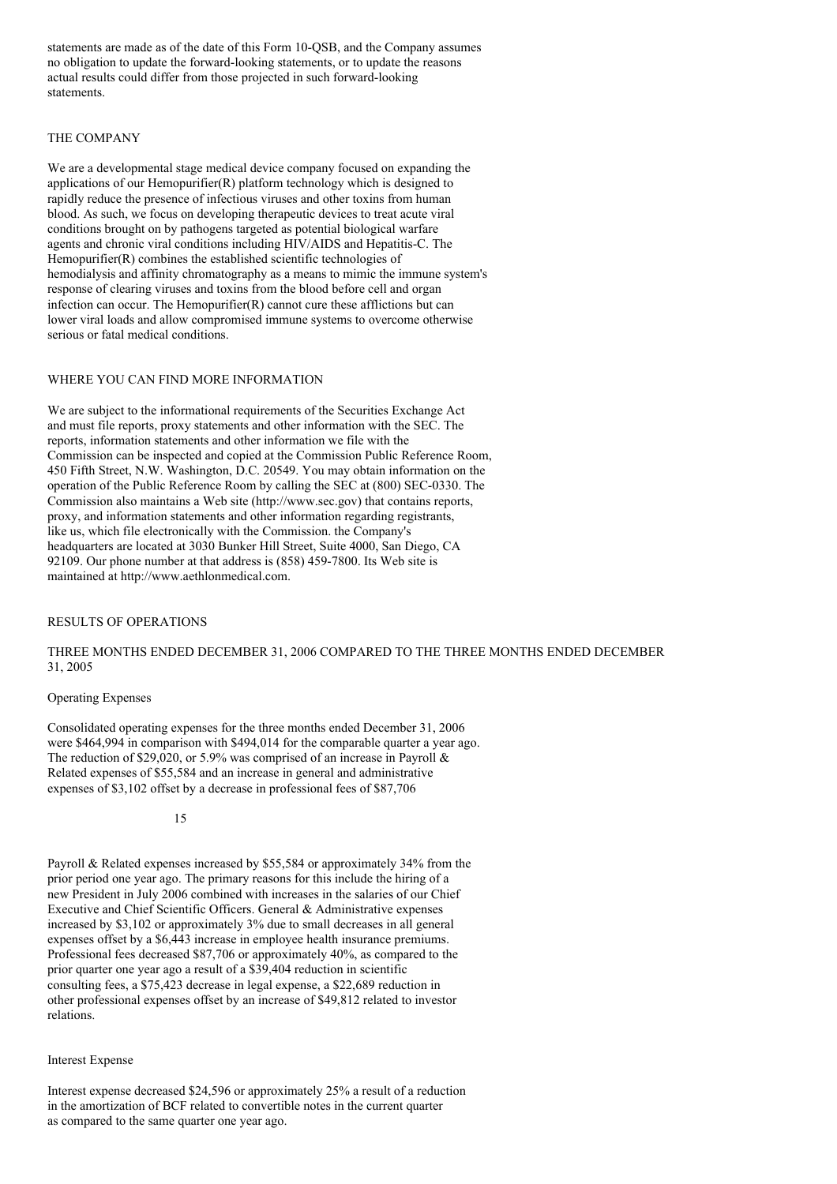statements are made as of the date of this Form 10-QSB, and the Company assumes no obligation to update the forward-looking statements, or to update the reasons actual results could differ from those projected in such forward-looking statements.

#### THE COMPANY

We are a developmental stage medical device company focused on expanding the applications of our Hemopurifier(R) platform technology which is designed to rapidly reduce the presence of infectious viruses and other toxins from human blood. As such, we focus on developing therapeutic devices to treat acute viral conditions brought on by pathogens targeted as potential biological warfare agents and chronic viral conditions including HIV/AIDS and Hepatitis-C. The Hemopurifier(R) combines the established scientific technologies of hemodialysis and affinity chromatography as a means to mimic the immune system's response of clearing viruses and toxins from the blood before cell and organ infection can occur. The Hemopurifier(R) cannot cure these afflictions but can lower viral loads and allow compromised immune systems to overcome otherwise serious or fatal medical conditions.

## WHERE YOU CAN FIND MORE INFORMATION

We are subject to the informational requirements of the Securities Exchange Act and must file reports, proxy statements and other information with the SEC. The reports, information statements and other information we file with the Commission can be inspected and copied at the Commission Public Reference Room, 450 Fifth Street, N.W. Washington, D.C. 20549. You may obtain information on the operation of the Public Reference Room by calling the SEC at (800) SEC-0330. The Commission also maintains a Web site (http://www.sec.gov) that contains reports, proxy, and information statements and other information regarding registrants, like us, which file electronically with the Commission. the Company's headquarters are located at 3030 Bunker Hill Street, Suite 4000, San Diego, CA 92109. Our phone number at that address is (858) 459-7800. Its Web site is maintained at http://www.aethlonmedical.com.

## RESULTS OF OPERATIONS

## THREE MONTHS ENDED DECEMBER 31, 2006 COMPARED TO THE THREE MONTHS ENDED DECEMBER 31, 2005

## Operating Expenses

Consolidated operating expenses for the three months ended December 31, 2006 were \$464,994 in comparison with \$494,014 for the comparable quarter a year ago. The reduction of \$29,020, or 5.9% was comprised of an increase in Payroll  $\&$ Related expenses of \$55,584 and an increase in general and administrative expenses of \$3,102 offset by a decrease in professional fees of \$87,706

15

Payroll & Related expenses increased by \$55,584 or approximately 34% from the prior period one year ago. The primary reasons for this include the hiring of a new President in July 2006 combined with increases in the salaries of our Chief Executive and Chief Scientific Officers. General & Administrative expenses increased by \$3,102 or approximately 3% due to small decreases in all general expenses offset by a \$6,443 increase in employee health insurance premiums. Professional fees decreased \$87,706 or approximately 40%, as compared to the prior quarter one year ago a result of a \$39,404 reduction in scientific consulting fees, a \$75,423 decrease in legal expense, a \$22,689 reduction in other professional expenses offset by an increase of \$49,812 related to investor relations.

## Interest Expense

Interest expense decreased \$24,596 or approximately 25% a result of a reduction in the amortization of BCF related to convertible notes in the current quarter as compared to the same quarter one year ago.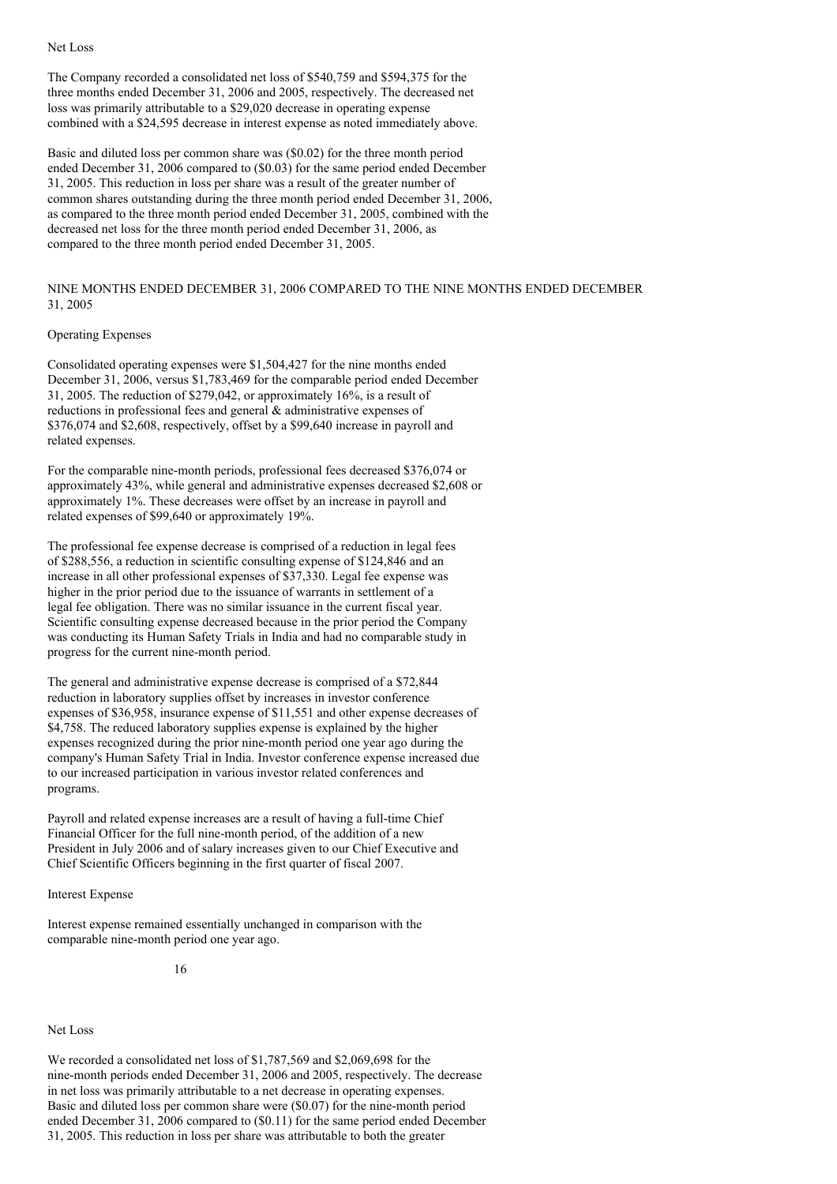Net Loss

The Company recorded a consolidated net loss of \$540,759 and \$594,375 for the three months ended December 31, 2006 and 2005, respectively. The decreased net loss was primarily attributable to a \$29,020 decrease in operating expense combined with a \$24,595 decrease in interest expense as noted immediately above.

Basic and diluted loss per common share was (\$0.02) for the three month period ended December 31, 2006 compared to (\$0.03) for the same period ended December 31, 2005. This reduction in loss per share was a result of the greater number of common shares outstanding during the three month period ended December 31, 2006, as compared to the three month period ended December 31, 2005, combined with the decreased net loss for the three month period ended December 31, 2006, as compared to the three month period ended December 31, 2005.

NINE MONTHS ENDED DECEMBER 31, 2006 COMPARED TO THE NINE MONTHS ENDED DECEMBER 31, 2005

#### Operating Expenses

Consolidated operating expenses were \$1,504,427 for the nine months ended December 31, 2006, versus \$1,783,469 for the comparable period ended December 31, 2005. The reduction of \$279,042, or approximately  $16\%$ , is a result of reductions in professional fees and general & administrative expenses of \$376,074 and \$2,608, respectively, offset by a \$99,640 increase in payroll and related expenses.

For the comparable nine-month periods, professional fees decreased \$376,074 or approximately 43%, while general and administrative expenses decreased \$2,608 or approximately 1%. These decreases were offset by an increase in payroll and related expenses of \$99,640 or approximately 19%.

The professional fee expense decrease is comprised of a reduction in legal fees of \$288,556, a reduction in scientific consulting expense of \$124,846 and an increase in all other professional expenses of \$37,330. Legal fee expense was higher in the prior period due to the issuance of warrants in settlement of a legal fee obligation. There was no similar issuance in the current fiscal year. Scientific consulting expense decreased because in the prior period the Company was conducting its Human Safety Trials in India and had no comparable study in progress for the current nine-month period.

The general and administrative expense decrease is comprised of a \$72,844 reduction in laboratory supplies offset by increases in investor conference expenses of \$36,958, insurance expense of \$11,551 and other expense decreases of \$4,758. The reduced laboratory supplies expense is explained by the higher expenses recognized during the prior nine-month period one year ago during the company's Human Safety Trial in India. Investor conference expense increased due to our increased participation in various investor related conferences and programs.

Payroll and related expense increases are a result of having a full-time Chief Financial Officer for the full nine-month period, of the addition of a new President in July 2006 and of salary increases given to our Chief Executive and Chief Scientific Officers beginning in the first quarter of fiscal 2007.

#### Interest Expense

Interest expense remained essentially unchanged in comparison with the comparable nine-month period one year ago.

16

## Net Loss

We recorded a consolidated net loss of \$1,787,569 and \$2,069,698 for the nine-month periods ended December 31, 2006 and 2005, respectively. The decrease in net loss was primarily attributable to a net decrease in operating expenses. Basic and diluted loss per common share were (\$0.07) for the nine-month period ended December 31, 2006 compared to (\$0.11) for the same period ended December 31, 2005. This reduction in loss per share was attributable to both the greater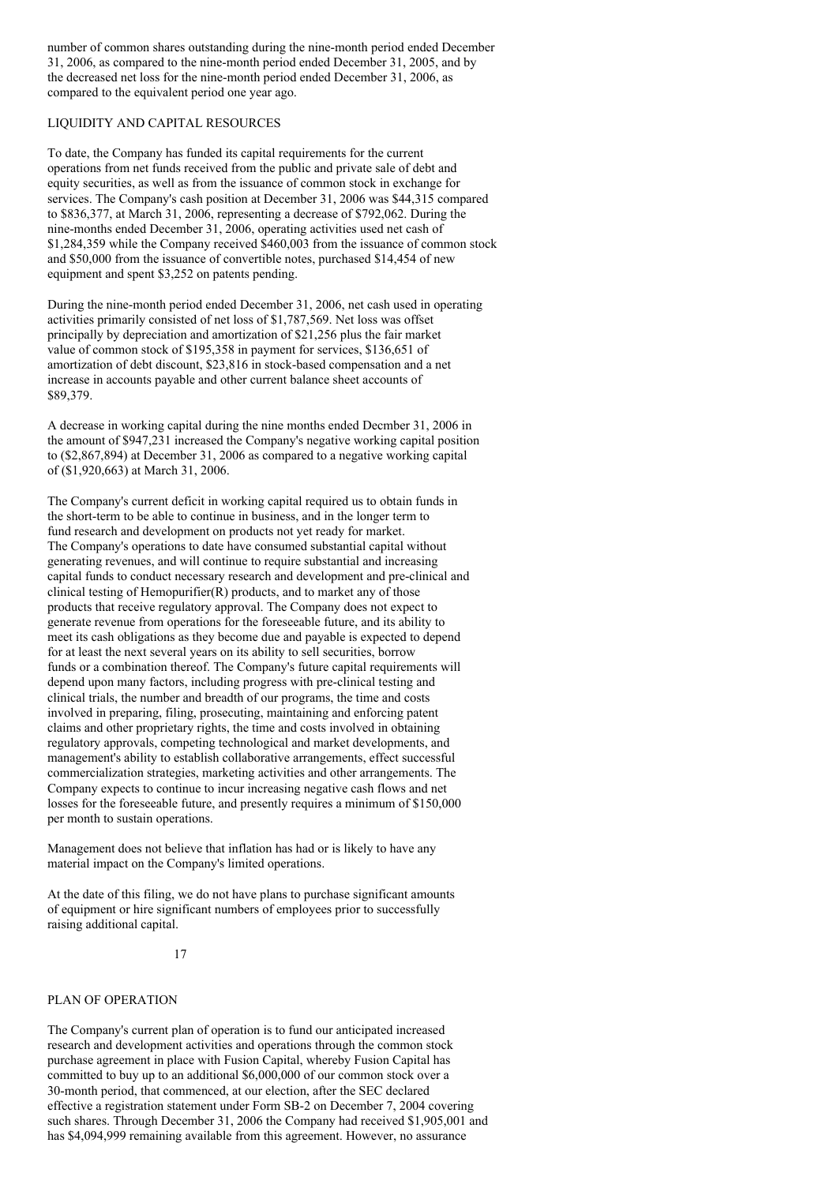number of common shares outstanding during the nine-month period ended December 31, 2006, as compared to the nine-month period ended December 31, 2005, and by the decreased net loss for the nine-month period ended December 31, 2006, as compared to the equivalent period one year ago.

## LIQUIDITY AND CAPITAL RESOURCES

To date, the Company has funded its capital requirements for the current operations from net funds received from the public and private sale of debt and equity securities, as well as from the issuance of common stock in exchange for services. The Company's cash position at December 31, 2006 was \$44,315 compared to \$836,377, at March 31, 2006, representing a decrease of \$792,062. During the nine-months ended December 31, 2006, operating activities used net cash of \$1,284,359 while the Company received \$460,003 from the issuance of common stock and \$50,000 from the issuance of convertible notes, purchased \$14,454 of new equipment and spent \$3,252 on patents pending.

During the nine-month period ended December 31, 2006, net cash used in operating activities primarily consisted of net loss of \$1,787,569. Net loss was offset principally by depreciation and amortization of \$21,256 plus the fair market value of common stock of \$195,358 in payment for services, \$136,651 of amortization of debt discount, \$23,816 in stock-based compensation and a net increase in accounts payable and other current balance sheet accounts of \$89,379.

A decrease in working capital during the nine months ended Decmber 31, 2006 in the amount of \$947,231 increased the Company's negative working capital position to (\$2,867,894) at December 31, 2006 as compared to a negative working capital of (\$1,920,663) at March 31, 2006.

The Company's current deficit in working capital required us to obtain funds in the short-term to be able to continue in business, and in the longer term to fund research and development on products not yet ready for market. The Company's operations to date have consumed substantial capital without generating revenues, and will continue to require substantial and increasing capital funds to conduct necessary research and development and pre-clinical and clinical testing of Hemopurifier(R) products, and to market any of those products that receive regulatory approval. The Company does not expect to generate revenue from operations for the foreseeable future, and its ability to meet its cash obligations as they become due and payable is expected to depend for at least the next several years on its ability to sell securities, borrow funds or a combination thereof. The Company's future capital requirements will depend upon many factors, including progress with pre-clinical testing and clinical trials, the number and breadth of our programs, the time and costs involved in preparing, filing, prosecuting, maintaining and enforcing patent claims and other proprietary rights, the time and costs involved in obtaining regulatory approvals, competing technological and market developments, and management's ability to establish collaborative arrangements, effect successful commercialization strategies, marketing activities and other arrangements. The Company expects to continue to incur increasing negative cash flows and net losses for the foreseeable future, and presently requires a minimum of \$150,000 per month to sustain operations.

Management does not believe that inflation has had or is likely to have any material impact on the Company's limited operations.

At the date of this filing, we do not have plans to purchase significant amounts of equipment or hire significant numbers of employees prior to successfully raising additional capital.

17

## PLAN OF OPERATION

The Company's current plan of operation is to fund our anticipated increased research and development activities and operations through the common stock purchase agreement in place with Fusion Capital, whereby Fusion Capital has committed to buy up to an additional \$6,000,000 of our common stock over a 30-month period, that commenced, at our election, after the SEC declared effective a registration statement under Form SB-2 on December 7, 2004 covering such shares. Through December 31, 2006 the Company had received \$1,905,001 and has \$4,094,999 remaining available from this agreement. However, no assurance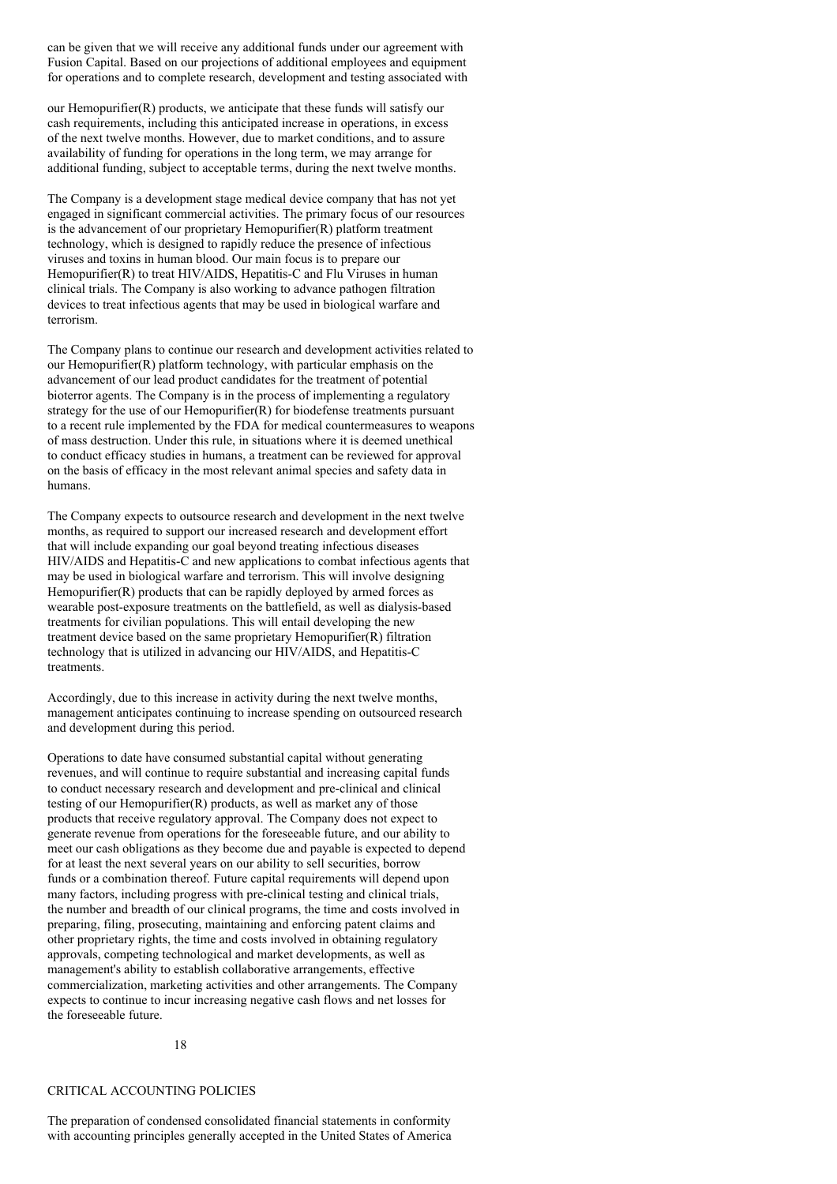can be given that we will receive any additional funds under our agreement with Fusion Capital. Based on our projections of additional employees and equipment for operations and to complete research, development and testing associated with

our Hemopurifier(R) products, we anticipate that these funds will satisfy our cash requirements, including this anticipated increase in operations, in excess of the next twelve months. However, due to market conditions, and to assure availability of funding for operations in the long term, we may arrange for additional funding, subject to acceptable terms, during the next twelve months.

The Company is a development stage medical device company that has not yet engaged in significant commercial activities. The primary focus of our resources is the advancement of our proprietary Hemopurifier(R) platform treatment technology, which is designed to rapidly reduce the presence of infectious viruses and toxins in human blood. Our main focus is to prepare our Hemopurifier(R) to treat HIV/AIDS, Hepatitis-C and Flu Viruses in human clinical trials. The Company is also working to advance pathogen filtration devices to treat infectious agents that may be used in biological warfare and terrorism.

The Company plans to continue our research and development activities related to our Hemopurifier(R) platform technology, with particular emphasis on the advancement of our lead product candidates for the treatment of potential bioterror agents. The Company is in the process of implementing a regulatory strategy for the use of our Hemopurifier(R) for biodefense treatments pursuant to a recent rule implemented by the FDA for medical countermeasures to weapons of mass destruction. Under this rule, in situations where it is deemed unethical to conduct efficacy studies in humans, a treatment can be reviewed for approval on the basis of efficacy in the most relevant animal species and safety data in humans.

The Company expects to outsource research and development in the next twelve months, as required to support our increased research and development effort that will include expanding our goal beyond treating infectious diseases HIV/AIDS and Hepatitis-C and new applications to combat infectious agents that may be used in biological warfare and terrorism. This will involve designing Hemopurifier(R) products that can be rapidly deployed by armed forces as wearable post-exposure treatments on the battlefield, as well as dialysis-based treatments for civilian populations. This will entail developing the new treatment device based on the same proprietary Hemopurifier(R) filtration technology that is utilized in advancing our HIV/AIDS, and Hepatitis-C treatments.

Accordingly, due to this increase in activity during the next twelve months, management anticipates continuing to increase spending on outsourced research and development during this period.

Operations to date have consumed substantial capital without generating revenues, and will continue to require substantial and increasing capital funds to conduct necessary research and development and pre-clinical and clinical testing of our Hemopurifier(R) products, as well as market any of those products that receive regulatory approval. The Company does not expect to generate revenue from operations for the foreseeable future, and our ability to meet our cash obligations as they become due and payable is expected to depend for at least the next several years on our ability to sell securities, borrow funds or a combination thereof. Future capital requirements will depend upon many factors, including progress with pre-clinical testing and clinical trials, the number and breadth of our clinical programs, the time and costs involved in preparing, filing, prosecuting, maintaining and enforcing patent claims and other proprietary rights, the time and costs involved in obtaining regulatory approvals, competing technological and market developments, as well as management's ability to establish collaborative arrangements, effective commercialization, marketing activities and other arrangements. The Company expects to continue to incur increasing negative cash flows and net losses for the foreseeable future.

18

# CRITICAL ACCOUNTING POLICIES

The preparation of condensed consolidated financial statements in conformity with accounting principles generally accepted in the United States of America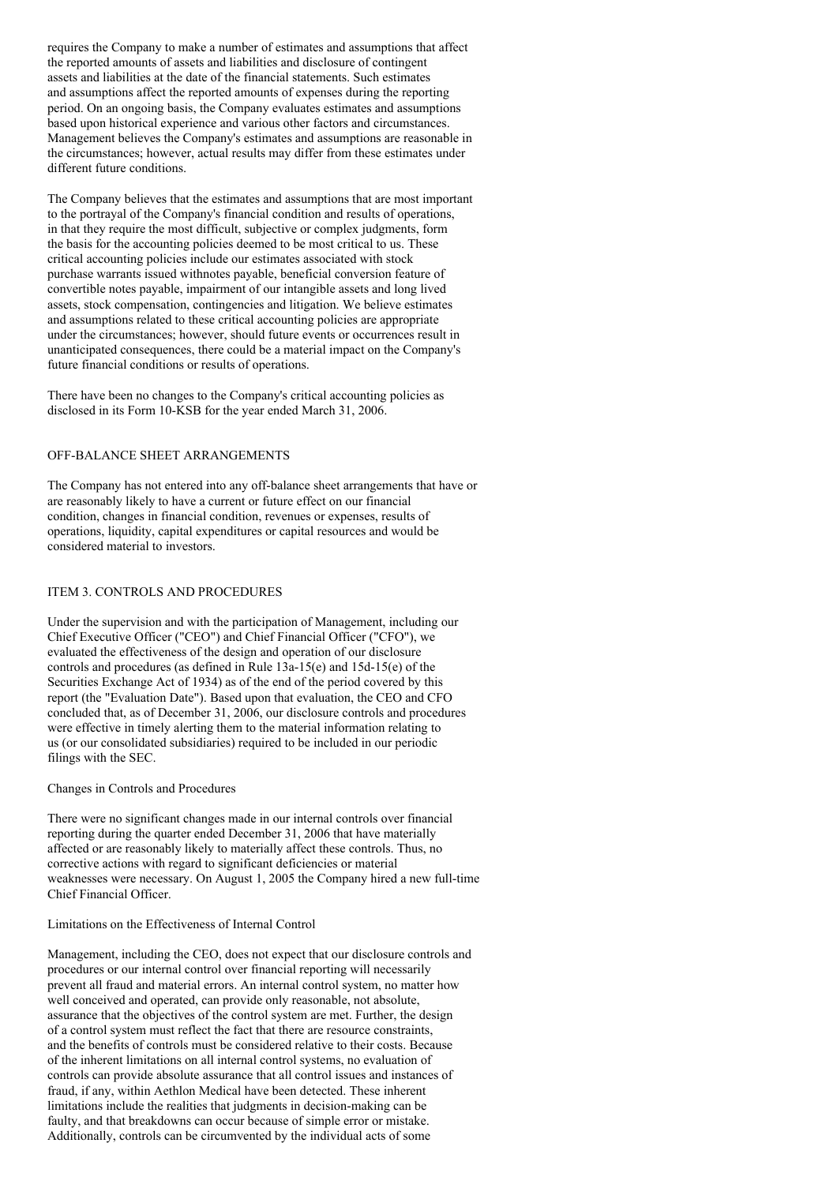requires the Company to make a number of estimates and assumptions that affect the reported amounts of assets and liabilities and disclosure of contingent assets and liabilities at the date of the financial statements. Such estimates and assumptions affect the reported amounts of expenses during the reporting period. On an ongoing basis, the Company evaluates estimates and assumptions based upon historical experience and various other factors and circumstances. Management believes the Company's estimates and assumptions are reasonable in the circumstances; however, actual results may differ from these estimates under different future conditions.

The Company believes that the estimates and assumptions that are most important to the portrayal of the Company's financial condition and results of operations, in that they require the most difficult, subjective or complex judgments, form the basis for the accounting policies deemed to be most critical to us. These critical accounting policies include our estimates associated with stock purchase warrants issued withnotes payable, beneficial conversion feature of convertible notes payable, impairment of our intangible assets and long lived assets, stock compensation, contingencies and litigation. We believe estimates and assumptions related to these critical accounting policies are appropriate under the circumstances; however, should future events or occurrences result in unanticipated consequences, there could be a material impact on the Company's future financial conditions or results of operations.

There have been no changes to the Company's critical accounting policies as disclosed in its Form 10-KSB for the year ended March 31, 2006.

## OFF-BALANCE SHEET ARRANGEMENTS

The Company has not entered into any off-balance sheet arrangements that have or are reasonably likely to have a current or future effect on our financial condition, changes in financial condition, revenues or expenses, results of operations, liquidity, capital expenditures or capital resources and would be considered material to investors.

## ITEM 3. CONTROLS AND PROCEDURES

Under the supervision and with the participation of Management, including our Chief Executive Officer ("CEO") and Chief Financial Officer ("CFO"), we evaluated the effectiveness of the design and operation of our disclosure controls and procedures (as defined in Rule 13a-15(e) and 15d-15(e) of the Securities Exchange Act of 1934) as of the end of the period covered by this report (the "Evaluation Date"). Based upon that evaluation, the CEO and CFO concluded that, as of December 31, 2006, our disclosure controls and procedures were effective in timely alerting them to the material information relating to us (or our consolidated subsidiaries) required to be included in our periodic filings with the SEC.

#### Changes in Controls and Procedures

There were no significant changes made in our internal controls over financial reporting during the quarter ended December 31, 2006 that have materially affected or are reasonably likely to materially affect these controls. Thus, no corrective actions with regard to significant deficiencies or material weaknesses were necessary. On August 1, 2005 the Company hired a new full-time Chief Financial Officer.

#### Limitations on the Effectiveness of Internal Control

Management, including the CEO, does not expect that our disclosure controls and procedures or our internal control over financial reporting will necessarily prevent all fraud and material errors. An internal control system, no matter how well conceived and operated, can provide only reasonable, not absolute, assurance that the objectives of the control system are met. Further, the design of a control system must reflect the fact that there are resource constraints, and the benefits of controls must be considered relative to their costs. Because of the inherent limitations on all internal control systems, no evaluation of controls can provide absolute assurance that all control issues and instances of fraud, if any, within Aethlon Medical have been detected. These inherent limitations include the realities that judgments in decision-making can be faulty, and that breakdowns can occur because of simple error or mistake. Additionally, controls can be circumvented by the individual acts of some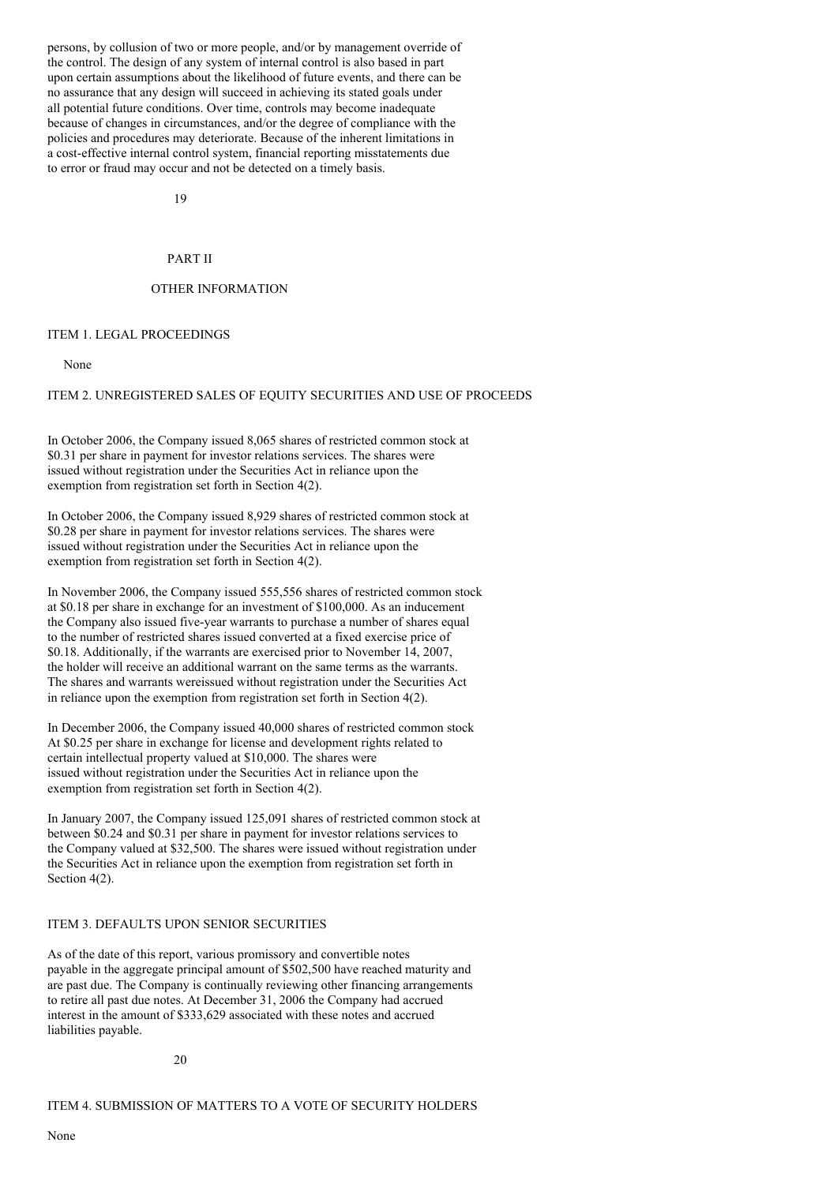persons, by collusion of two or more people, and/or by management override of the control. The design of any system of internal control is also based in part upon certain assumptions about the likelihood of future events, and there can be no assurance that any design will succeed in achieving its stated goals under all potential future conditions. Over time, controls may become inadequate because of changes in circumstances, and/or the degree of compliance with the policies and procedures may deteriorate. Because of the inherent limitations in a cost-effective internal control system, financial reporting misstatements due to error or fraud may occur and not be detected on a timely basis.

19

## PART II

## OTHER INFORMATION

#### ITEM 1. LEGAL PROCEEDINGS

None

## ITEM 2. UNREGISTERED SALES OF EQUITY SECURITIES AND USE OF PROCEEDS

In October 2006, the Company issued 8,065 shares of restricted common stock at \$0.31 per share in payment for investor relations services. The shares were issued without registration under the Securities Act in reliance upon the exemption from registration set forth in Section 4(2).

In October 2006, the Company issued 8,929 shares of restricted common stock at \$0.28 per share in payment for investor relations services. The shares were issued without registration under the Securities Act in reliance upon the exemption from registration set forth in Section 4(2).

In November 2006, the Company issued 555,556 shares of restricted common stock at \$0.18 per share in exchange for an investment of \$100,000. As an inducement the Company also issued five-year warrants to purchase a number of shares equal to the number of restricted shares issued converted at a fixed exercise price of \$0.18. Additionally, if the warrants are exercised prior to November 14, 2007, the holder will receive an additional warrant on the same terms as the warrants. The shares and warrants wereissued without registration under the Securities Act in reliance upon the exemption from registration set forth in Section 4(2).

In December 2006, the Company issued 40,000 shares of restricted common stock At \$0.25 per share in exchange for license and development rights related to certain intellectual property valued at \$10,000. The shares were issued without registration under the Securities Act in reliance upon the exemption from registration set forth in Section 4(2).

In January 2007, the Company issued 125,091 shares of restricted common stock at between \$0.24 and \$0.31 per share in payment for investor relations services to the Company valued at \$32,500. The shares were issued without registration under the Securities Act in reliance upon the exemption from registration set forth in Section 4(2).

#### ITEM 3. DEFAULTS UPON SENIOR SECURITIES

As of the date of this report, various promissory and convertible notes payable in the aggregate principal amount of \$502,500 have reached maturity and are past due. The Company is continually reviewing other financing arrangements to retire all past due notes. At December 31, 2006 the Company had accrued interest in the amount of \$333,629 associated with these notes and accrued liabilities payable.

20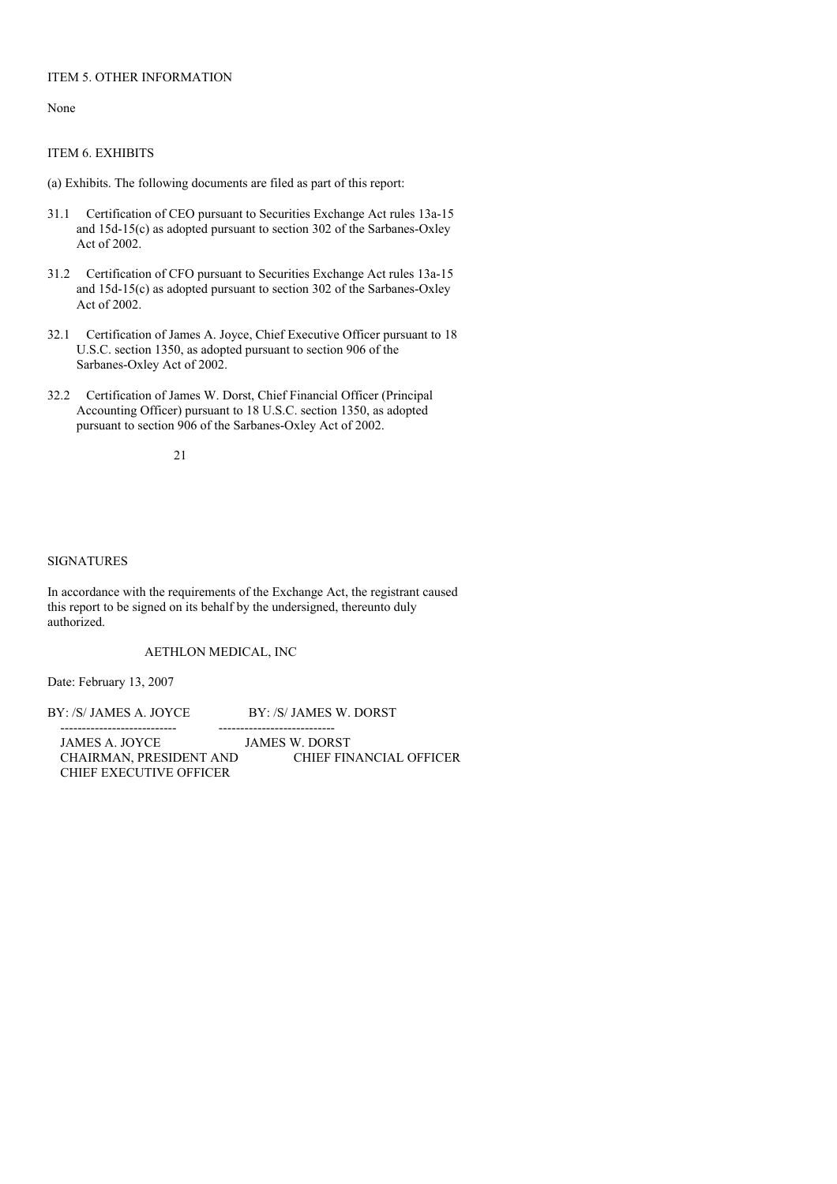#### ITEM 5. OTHER INFORMATION

None

## ITEM 6. EXHIBITS

(a) Exhibits. The following documents are filed as part of this report:

- 31.1 Certification of CEO pursuant to Securities Exchange Act rules 13a-15 and 15d-15(c) as adopted pursuant to section 302 of the Sarbanes-Oxley Act of 2002.
- 31.2 Certification of CFO pursuant to Securities Exchange Act rules 13a-15 and 15d-15(c) as adopted pursuant to section 302 of the Sarbanes-Oxley Act of 2002.
- 32.1 Certification of James A. Joyce, Chief Executive Officer pursuant to 18 U.S.C. section 1350, as adopted pursuant to section 906 of the Sarbanes-Oxley Act of 2002.
- 32.2 Certification of James W. Dorst, Chief Financial Officer (Principal Accounting Officer) pursuant to 18 U.S.C. section 1350, as adopted pursuant to section 906 of the Sarbanes-Oxley Act of 2002.

21

## SIGNATURES

In accordance with the requirements of the Exchange Act, the registrant caused this report to be signed on its behalf by the undersigned, thereunto duly authorized.

AETHLON MEDICAL, INC

Date: February 13, 2007

BY: /S/ JAMES A. JOYCE BY: /S/ JAMES W. DORST

--------------------------- --------------------------- JAMES A. JOYCE JAMES W. DORST CHAIRMAN, PRESIDENT AND CHIEF FINANCIAL OFFICER CHIEF EXECUTIVE OFFICER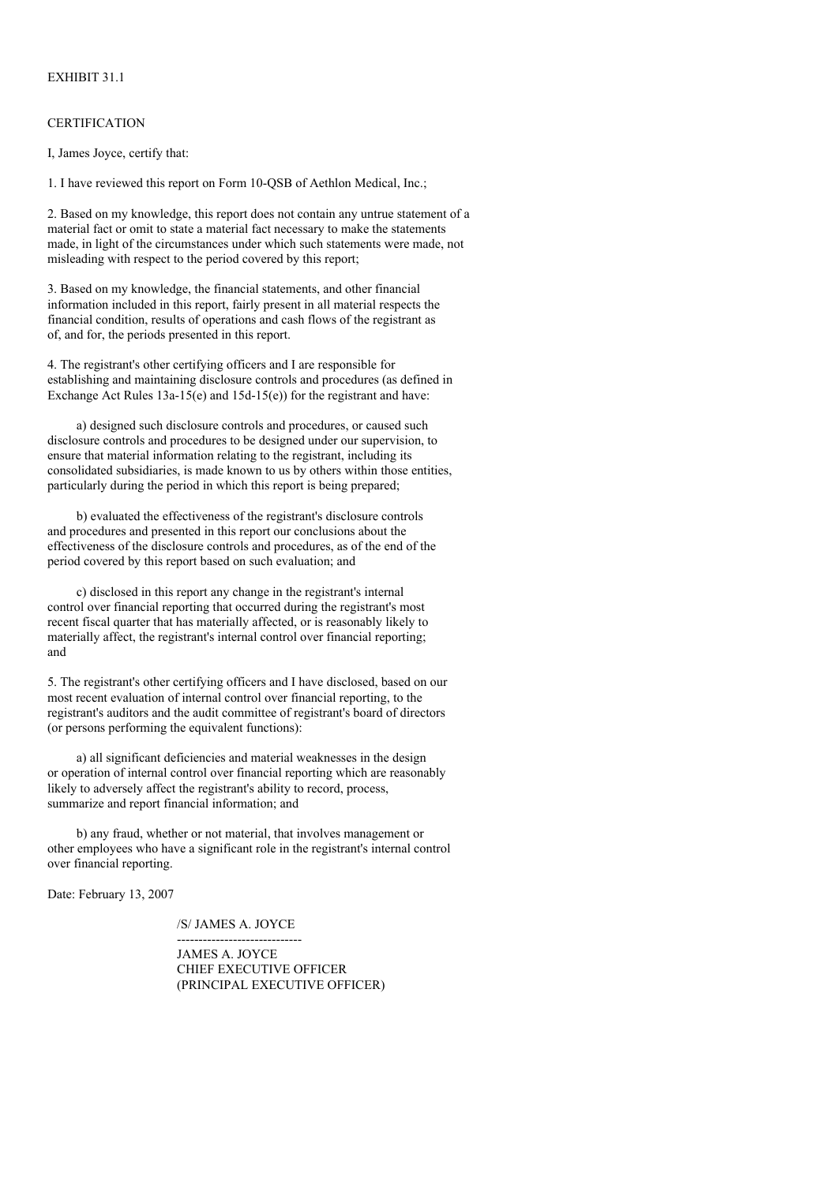#### EXHIBIT 31.1

## **CERTIFICATION**

I, James Joyce, certify that:

1. I have reviewed this report on Form 10-QSB of Aethlon Medical, Inc.;

2. Based on my knowledge, this report does not contain any untrue statement of a material fact or omit to state a material fact necessary to make the statements made, in light of the circumstances under which such statements were made, not misleading with respect to the period covered by this report;

3. Based on my knowledge, the financial statements, and other financial information included in this report, fairly present in all material respects the financial condition, results of operations and cash flows of the registrant as of, and for, the periods presented in this report.

4. The registrant's other certifying officers and I are responsible for establishing and maintaining disclosure controls and procedures (as defined in Exchange Act Rules  $13a-15(e)$  and  $15d-15(e)$  for the registrant and have:

a) designed such disclosure controls and procedures, or caused such disclosure controls and procedures to be designed under our supervision, to ensure that material information relating to the registrant, including its consolidated subsidiaries, is made known to us by others within those entities, particularly during the period in which this report is being prepared;

b) evaluated the effectiveness of the registrant's disclosure controls and procedures and presented in this report our conclusions about the effectiveness of the disclosure controls and procedures, as of the end of the period covered by this report based on such evaluation; and

c) disclosed in this report any change in the registrant's internal control over financial reporting that occurred during the registrant's most recent fiscal quarter that has materially affected, or is reasonably likely to materially affect, the registrant's internal control over financial reporting; and

5. The registrant's other certifying officers and I have disclosed, based on our most recent evaluation of internal control over financial reporting, to the registrant's auditors and the audit committee of registrant's board of directors (or persons performing the equivalent functions):

a) all significant deficiencies and material weaknesses in the design or operation of internal control over financial reporting which are reasonably likely to adversely affect the registrant's ability to record, process, summarize and report financial information; and

b) any fraud, whether or not material, that involves management or other employees who have a significant role in the registrant's internal control over financial reporting.

Date: February 13, 2007

/S/ JAMES A. JOYCE

----------------------------- JAMES A. JOYCE CHIEF EXECUTIVE OFFICER (PRINCIPAL EXECUTIVE OFFICER)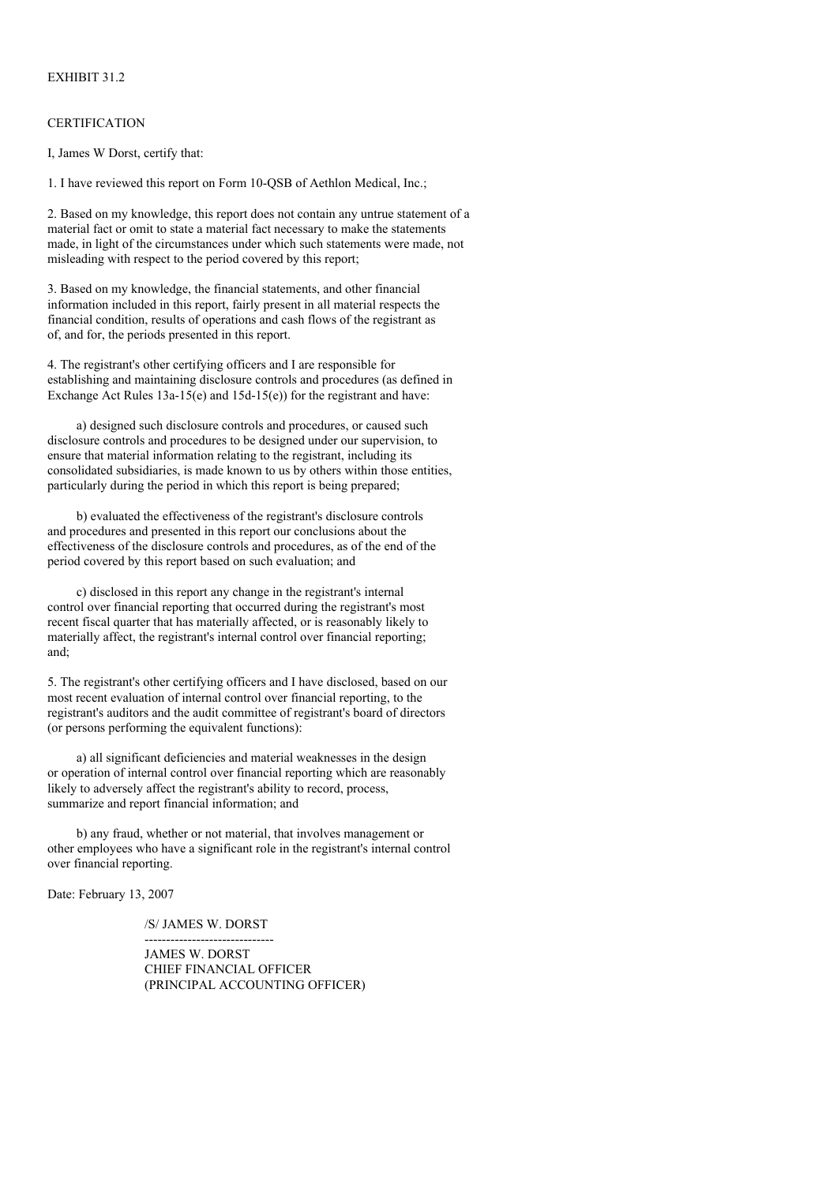## EXHIBIT 31.2

## **CERTIFICATION**

I, James W Dorst, certify that:

1. I have reviewed this report on Form 10-QSB of Aethlon Medical, Inc.;

2. Based on my knowledge, this report does not contain any untrue statement of a material fact or omit to state a material fact necessary to make the statements made, in light of the circumstances under which such statements were made, not misleading with respect to the period covered by this report;

3. Based on my knowledge, the financial statements, and other financial information included in this report, fairly present in all material respects the financial condition, results of operations and cash flows of the registrant as of, and for, the periods presented in this report.

4. The registrant's other certifying officers and I are responsible for establishing and maintaining disclosure controls and procedures (as defined in Exchange Act Rules  $13a-15(e)$  and  $15d-15(e)$  for the registrant and have:

a) designed such disclosure controls and procedures, or caused such disclosure controls and procedures to be designed under our supervision, to ensure that material information relating to the registrant, including its consolidated subsidiaries, is made known to us by others within those entities, particularly during the period in which this report is being prepared;

b) evaluated the effectiveness of the registrant's disclosure controls and procedures and presented in this report our conclusions about the effectiveness of the disclosure controls and procedures, as of the end of the period covered by this report based on such evaluation; and

c) disclosed in this report any change in the registrant's internal control over financial reporting that occurred during the registrant's most recent fiscal quarter that has materially affected, or is reasonably likely to materially affect, the registrant's internal control over financial reporting; and;

5. The registrant's other certifying officers and I have disclosed, based on our most recent evaluation of internal control over financial reporting, to the registrant's auditors and the audit committee of registrant's board of directors (or persons performing the equivalent functions):

a) all significant deficiencies and material weaknesses in the design or operation of internal control over financial reporting which are reasonably likely to adversely affect the registrant's ability to record, process, summarize and report financial information; and

b) any fraud, whether or not material, that involves management or other employees who have a significant role in the registrant's internal control over financial reporting.

Date: February 13, 2007

/S/ JAMES W. DORST

------------------------------ JAMES W. DORST CHIEF FINANCIAL OFFICER (PRINCIPAL ACCOUNTING OFFICER)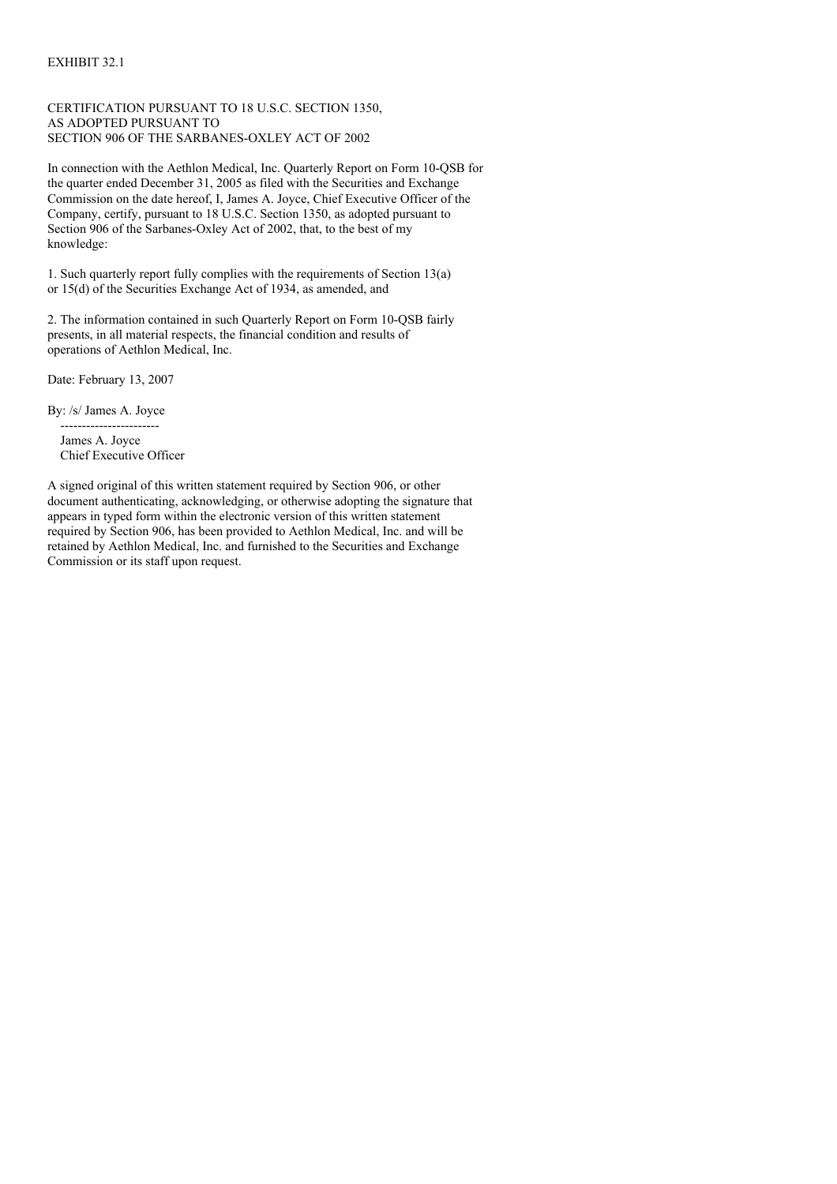#### EXHIBIT 32.1

## CERTIFICATION PURSUANT TO 18 U.S.C. SECTION 1350, AS ADOPTED PURSUANT TO SECTION 906 OF THE SARBANES-OXLEY ACT OF 2002

In connection with the Aethlon Medical, Inc. Quarterly Report on Form 10-QSB for the quarter ended December 31, 2005 as filed with the Securities and Exchange Commission on the date hereof, I, James A. Joyce, Chief Executive Officer of the Company, certify, pursuant to 18 U.S.C. Section 1350, as adopted pursuant to Section 906 of the Sarbanes-Oxley Act of 2002, that, to the best of my knowledge:

1. Such quarterly report fully complies with the requirements of Section 13(a) or 15(d) of the Securities Exchange Act of 1934, as amended, and

2. The information contained in such Quarterly Report on Form 10-QSB fairly presents, in all material respects, the financial condition and results of operations of Aethlon Medical, Inc.

Date: February 13, 2007

By: /s/ James A. Joyce

----------------------- James A. Joyce Chief Executive Officer

A signed original of this written statement required by Section 906, or other document authenticating, acknowledging, or otherwise adopting the signature that appears in typed form within the electronic version of this written statement required by Section 906, has been provided to Aethlon Medical, Inc. and will be retained by Aethlon Medical, Inc. and furnished to the Securities and Exchange Commission or its staff upon request.